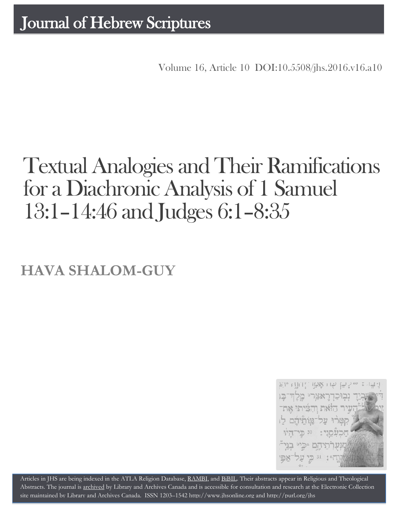Volume 16, Article 10 DOI:10.5508/jhs.2016.v16.a10

# Textual Analogies and Their Ramifications for a Diachronic Analysis of 1 Samuel 13:1–14:46 and Judges 6:1–8:35

**HAVA SHALOM-GUY**



Articles in JHS are being indexed in the ATLA Religion Database, [RAMBI,](http://jnul.huji.ac.il/rambi/) and [BiBIL.](http://bibil.net/) Their abstracts appear in Religious and Theological Abstracts. The journal is [archived](http://epe.lac-bac.gc.ca/100/201/300/journal_hebrew/index.html) by Library and Archives Canada and is accessible for consultation and research at the Electronic Collection site maintained by [Library and Archives Canada.](http://collectionscanada.ca/electroniccollection/003008-200-e.html) ISSN 1203–154[2 http://www.jhsonline.org](http://www.jhsonline.org/) and<http://purl.org/jhs>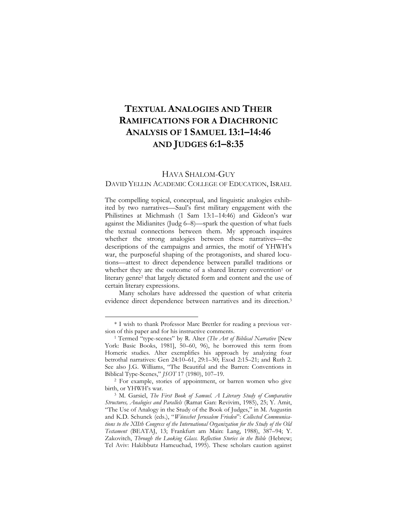# **TEXTUAL ANALOGIES AND THEIR RAMIFICATIONS FOR A DIACHRONIC ANALYSIS OF 1 SAMUEL 13:1–14:46 AND JUDGES 6:1–8:35**

# HAVA SHALOM-GUY

#### DAVID YELLIN ACADEMIC COLLEGE OF EDUCATION, ISRAEL

The compelling topical, conceptual, and linguistic analogies exhibited by two narratives—Saul's first military engagement with the Philistines at Michmash (1 Sam 13:1–14:46) and Gideon's war against the Midianites (Judg 6–8)—spark the question of what fuels the textual connections between them. My approach inquires whether the strong analogies between these narratives—the descriptions of the campaigns and armies, the motif of YHWH's war, the purposeful shaping of the protagonists, and shared locutions—attest to direct dependence between parallel traditions or whether they are the outcome of a shared literary convention<sup>1</sup> or literary genre<sup>2</sup> that largely dictated form and content and the use of certain literary expressions.

Many scholars have addressed the question of what criteria evidence direct dependence between narratives and its direction.<sup>3</sup>

<sup>\*</sup> I wish to thank Professor Marc Brettler for reading a previous version of this paper and for his instructive comments.

<sup>1</sup> Termed "type-scenes" by R. Alter (*The Art of Biblical Narrative* [New York: Basic Books, 1981], 50–60, 96), he borrowed this term from Homeric studies. Alter exemplifies his approach by analyzing four betrothal narratives: Gen 24:10–61, 29:1–30; Exod 2:15–21; and Ruth 2. See also J.G. Williams, "The Beautiful and the Barren: Conventions in Biblical Type-Scenes," *JSOT* 17 (1980), 107–19.

<sup>2</sup> For example, stories of appointment, or barren women who give birth, or YHWH's war.

<sup>3</sup> M. Garsiel, *The First Book of Samuel. A Literary Study of Comparative Structures, Analogies and Parallels* (Ramat Gan: Revivim, 1985), 25; Y. Amit, "The Use of Analogy in the Study of the Book of Judges," in M. Augustin and K.D. Schunck (eds.), "*Wünschet Jerusalem Frieden*": *Collected Communications to the XIIth Congress of the International Organization for the Study of the Old Testament* (BEATAJ, 13; Frankfurt am Main: Lang, 1988), 387–94; Y. Zakovitch, *Through the Looking Glass. Reflection Stories in the Bible* (Hebrew; Tel Aviv: Hakibbutz Hameuchad, 1995). These scholars caution against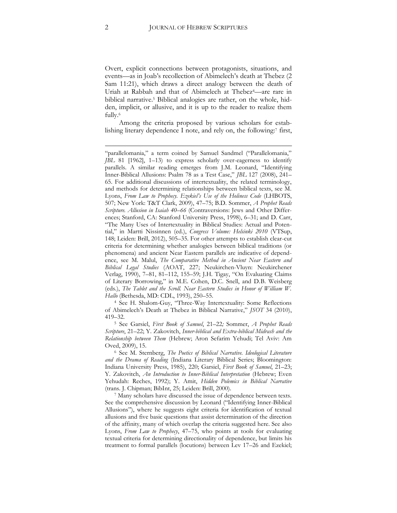Overt, explicit connections between protagonists, situations, and events—as in Joab's recollection of Abimelech's death at Thebez (2 Sam 11:21), which draws a direct analogy between the death of Uriah at Rabbah and that of Abimelech at Thebez4—are rare in biblical narrative.<sup>5</sup> Biblical analogies are rather, on the whole, hidden, implicit, or allusive, and it is up to the reader to realize them fully.<sup>6</sup>

<span id="page-2-0"></span>Among the criteria proposed by various scholars for establishing literary dependence I note, and rely on, the following:<sup>7</sup> first,

<sup>4</sup> See H. Shalom-Guy, "Three-Way Intertextuality: Some Reflections of Abimelech's Death at Thebez in Biblical Narrative," *JSOT* 34 (2010), 419–32.

<sup>5</sup> See Garsiel, *First Book of Samuel*, 21–22*;* Sommer, *A Prophet Reads Scripture*, 21–22; Y. Zakovitch, *Inner-biblical and Extra-biblical Midrash and the Relationship between Them* (Hebrew; Aron Sefarim Yehudi; Tel Aviv: Am Oved, 2009), 15.

<sup>6</sup> See M. Sternberg, *The Poetics of Biblical Narrative. Ideological Literature and the Drama of Reading* (Indiana Literary Biblical Series; Bloomington: Indiana University Press, 1985), 220; Garsiel, *First Book of Samuel*, 21–23; Y. Zakovitch, *An Introduction to Inner-Biblical Interpretation* (Hebrew; Even Yehudah: Reches, 1992); Y. Amit, *Hidden Polemics in Biblical Narrative*  (trans. J. Chipman; BibInt, 25; Leiden: Brill, 2000).

<sup>7</sup> Many scholars have discussed the issue of dependence between texts. See the comprehensive discussion by Leonard ("Identifying Inner-Biblical Allusions"), where he suggests eight criteria for identification of textual allusions and five basic questions that assist determination of the direction of the affinity, many of which overlap the criteria suggested here. See also Lyons, *From Law to Prophecy*, 47–75, who points at tools for evaluating textual criteria for determining directionality of dependence, but limits his treatment to formal parallels (locutions) between Lev 17–26 and Ezekiel;

**.** 

<sup>&</sup>quot;parallelomania," a term coined by Samuel Sandmel ("Parallelomania," *JBL* 81 [1962], 1–13) to express scholarly over-eagerness to identify parallels. A similar reading emerges from J.M. Leonard, "Identifying Inner-Biblical Allusions: Psalm 78 as a Test Case," *JBL* 127 (2008), 241– 65. For additional discussions of intertextuality, the related terminology, and methods for determining relationships between biblical texts, see M. Lyons, *From Law to Prophecy. Ezekiel's Use of the Holiness Code* (LHBOTS, 507; New York: T&T Clark, 2009), 47–75; B.D. Sommer, *A Prophet Reads Scripture. Allusion in Isaiah 40–66* (Contraversions: Jews and Other Differences; Stanford, CA: Stanford University Press, 1998), 6–31; and D. Carr, "The Many Uses of Intertextuality in Biblical Studies: Actual and Potential," in Martti Nissinnen (ed.), *Congress Volume: Helsinki 2010* (VTSup, 148; Leiden: Brill, 2012), 505–35. For other attempts to establish clear-cut criteria for determining whether analogies between biblical traditions (or phenomena) and ancient Near Eastern parallels are indicative of dependence, see M. Malul, *The Comparative Method in Ancient Near Eastern and Biblical Legal Studies* (AOAT, 227; Neukirchen-Vluyn: Neukirchener Verlag, 1990), 7–81, 81–112, 155–59; J.H. Tigay, "On Evaluating Claims of Literary Borrowing," in M.E. Cohen, D.C. Snell, and D.B. Weisberg (eds.), *The Tablet and the Scroll. Near Eastern Studies in Honor of William W. Hallo* (Bethesda, MD: CDL, 1993), 250–55.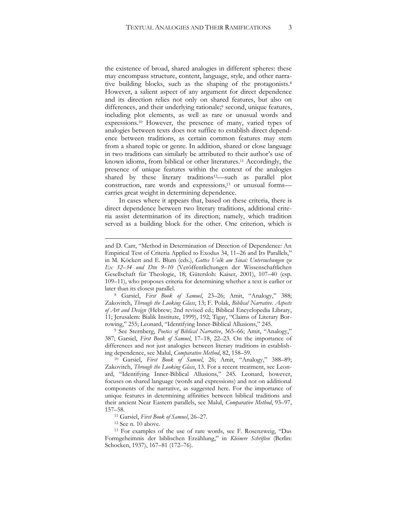<span id="page-3-0"></span>the existence of broad, shared analogies in different spheres: these may encompass structure, content, language, style, and other narrative building blocks, such as the shaping of the protagonists.<sup>8</sup> However, a salient aspect of any argument for direct dependence and its direction relies not only on shared features, but also on differences, and their underlying rationale;<sup>9</sup> second, unique features, including plot elements, as well as rare or unusual words and expressions.<sup>10</sup> However, the presence of many, varied types of analogies between texts does not suffice to establish direct dependence between traditions, as certain common features may stem from a shared topic or genre. In addition, shared or close language in two traditions can similarly be attributed to their author's use of known idioms, from biblical or other literatures.<sup>11</sup> Accordingly, the presence of unique features within the context of the analogies shared by these literary traditions<sup>12</sup>—such as parallel plot construction, rare words and expressions,<sup>13</sup> or unusual formscarries great weight in determining dependence.

In cases where it appears that, based on these criteria, there is direct dependence between two literary traditions, additional criteria assist determination of its direction; namely, which tradition served as a building block for the other. One criterion, which is

<sup>8</sup> Garsiel, *First Book of Samuel*, 23–26; Amit, "Analogy," 388; Zakovitch, *Through the Looking Glass*, 13; F. Polak, *Biblical Narrative. Aspects of Art and Design* (Hebrew; 2nd revised ed.; Biblical Encyclopedia Library, 11; Jerusalem: Bialik Institute, 1999), 192; Tigay, "Claims of Literary Borrowing," 255; Leonard, "Identifying Inner-Biblical Allusions," 245.

<sup>9</sup> See Sternberg, *Poetics of Biblical Narrative*, 365–66; Amit, "Analogy," 387; Garsiel, *First Book of Samuel*, 17–18, 22–23. On the importance of differences and not just analogies between literary traditions in establishing dependence, see Malul, *Comparative Method*, 82, 158–59.

<sup>10</sup> Garsiel, *First Book of Samuel*, 26; Amit, "Analogy," 388–89; Zakovitch, *Through the Looking Glass*, 13. For a recent treatment, see Leonard, "Identifying Inner-Biblical Allusions," 245. Leonard, however, focuses on shared language (words and expressions) and not on additional components of the narrative, as suggested here. For the importance of unique features in determining affinities between biblical traditions and their ancient Near Eastern parallels, see Malul, *Comparative Method*, 93–97, 157–58.

<sup>11</sup> Garsiel, *First Book of Samuel*, 26–27.

<sup>12</sup> See n. [10](#page-3-0) above.

**.** 

<sup>13</sup> For examples of the use of rare words, see F. Rosenzweig, "Das Formgeheimnis der biblischen Erzählung," in *Kleinere Schriften* (Berlin: Schocken, 1937), 167–81 (172–76).

and D. Carr, "Method in Determination of Direction of Dependence: An Empirical Test of Criteria Applied to Exodus 34, 11–26 and Its Parallels," in M. Köckert and E. Blum (eds.), *Gottes Volk am Sinai: Untersuchungen zu Ex 32–34 und Dtn 9–10* (Veröffentlichungen der Wissenschaftlichen Gesellschaft für Theologie, 18; Gütersloh: Kaiser, 2001), 107–40 (esp. 109–11), who proposes criteria for determining whether a text is earlier or later than its closest parallel.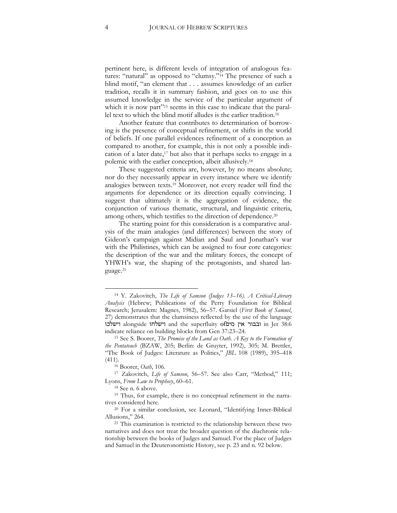pertinent here, is different levels of integration of analogous features: "natural" as opposed to "clumsy."<sup>14</sup> The presence of such a blind motif, "an element that . . . assumes knowledge of an earlier tradition, recalls it in summary fashion, and goes on to use this assumed knowledge in the service of the particular argument of which it is now part"<sup>15</sup> seems in this case to indicate that the parallel text to which the blind motif alludes is the earlier tradition.<sup>16</sup>

Another feature that contributes to determination of borrowing is the presence of conceptual refinement, or shifts in the world of beliefs. If one parallel evidences refinement of a conception as compared to another, for example, this is not only a possible indication of a later date,<sup>17</sup> but also that it perhaps seeks to engage in a polemic with the earlier conception, albeit allusively.<sup>18</sup>

These suggested criteria are, however, by no means absolute; nor do they necessarily appear in every instance where we identify analogies between texts.<sup>19</sup> Moreover, not every reader will find the arguments for dependence or its direction equally convincing. I suggest that ultimately it is the aggregation of evidence, the conjunction of various thematic, structural, and linguistic criteria, among others, which testifies to the direction of dependence.<sup>20</sup>

The starting point for this consideration is a comparative analysis of the main analogies (and differences) between the story of Gideon's campaign against Midian and Saul and Jonathan's war with the Philistines, which can be assigned to four core categories: the description of the war and the military forces, the concept of YHWH's war, the shaping of the protagonists, and shared language.<sup>21</sup>

<sup>14</sup> Y. Zakovitch, *The Life of Samson (Judges 13–16). A Critical-Literary Analysis* (Hebrew; Publications of the Perry Foundation for Biblical Research; Jerusalem: Magnes, 1982), 56–57. Garsiel (*First Book of Samuel*, 27) demonstrates that the clumsiness reflected by the use of the language וישלכו alongside וישלחו and the superfluity ofמים אין ובבור in Jer 38:6 indicate reliance on building blocks from Gen 37:23–24.

<sup>15</sup> See S. Boorer, *The Promise of the Land as Oath. A Key to the Formation of the Pentateuch* (BZAW, 205; Berlin: de Gruyter, 1992), 305; M. Brettler, "The Book of Judges: Literature as Politics," *JBL* 108 (1989), 395–418 (411).

<sup>16</sup> Boorer, *Oath*, 106.

<sup>17</sup> Zakovitch, *Life of Samson*, 56–57. See also Carr, "Method," 111; Lyons, *From Law to Prophecy*, 60–61.

<sup>18</sup> See n. [6](#page-2-0) above.

<sup>19</sup> Thus, for example, there is no conceptual refinement in the narratives considered here.

<sup>20</sup> For a similar conclusion, see Leonard, "Identifying Inner-Biblical Allusions," 264.

<sup>&</sup>lt;sup>21</sup> This examination is restricted to the relationship between these two narratives and does not treat the broader question of the diachronic relationship between the books of Judges and Samuel. For the place of Judges and Samuel in the Deuteronomistic History, see p. 23 and n. 92 below.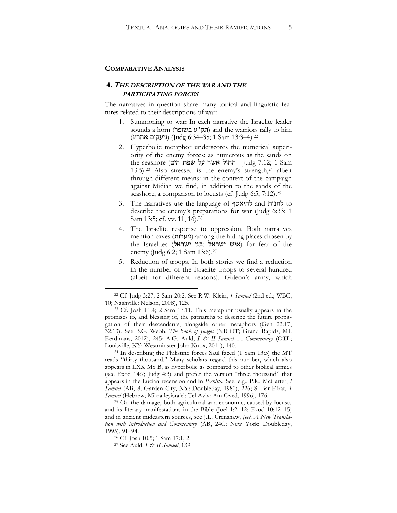#### **COMPARATIVE ANALYSIS**

#### **A. THE DESCRIPTION OF THE WAR AND THE PARTICIPATING FORCES**

The narratives in question share many topical and linguistic features related to their descriptions of war:

- 1. Summoning to war: In each narrative the Israelite leader sounds a horn (תק"ע בשופר) and the warriors rally to him .22(4–13:3 Sam 1; 35–6:34 Judg) (נזעקים אחריו)
- <span id="page-5-0"></span>2. Hyperbolic metaphor underscores the numerical superiority of the enemy forces: as numerous as the sands on the seashore (החול אשר על שפת הים)—החול הים —Judg 7:12; 1 Sam 13:5). <sup>23</sup> Also stressed is the enemy's strength,<sup>24</sup> albeit through different means: in the context of the campaign against Midian we find, in addition to the sands of the seashore, a comparison to locusts (cf. Judg 6:5, 7:12). 25
- 3. The narratives use the language of להיאסף and לחנות to describe the enemy's preparations for war (Judg 6:33; 1 Sam 13:5; cf. vv. 11, 16).<sup>26</sup>
- <span id="page-5-1"></span>4. The Israelite response to oppression. Both narratives mention caves (מערות) among the hiding places chosen by the Israelites (איש ישראל בני ישראל) for fear of the enemy (Judg 6:2; 1 Sam 13:6).<sup>27</sup>
- 5. Reduction of troops. In both stories we find a reduction in the number of the Israelite troops to several hundred (albeit for different reasons). Gideon's army, which

<sup>24</sup> In describing the Philistine forces Saul faced (1 Sam 13:5) the MT reads "thirty thousand." Many scholars regard this number, which also appears in LXX MS B, as hyperbolic as compared to other biblical armies (see Exod 14:7; Judg 4:3) and prefer the version "three thousand" that appears in the Lucian recension and in *Peshitta.* See, e.g., P.K. McCarter, *I Samuel* (AB, 8; Garden City, NY: Doubleday, 1980), 226; S. Bar-Efrat, *1 Samuel* (Hebrew; Mikra leyisra'el; Tel Aviv: Am Oved, 1996), 176.

<sup>25</sup> On the damage, both agricultural and economic, caused by locusts and its literary manifestations in the Bible (Joel 1:2–12; Exod 10:12–15) and in ancient mideastern sources, see J.L. Crenshaw, *Joel. A New Translation with Introduction and Commentary* (AB, 24C; New York: Doubleday, 1995), 91–94.

<sup>22</sup> Cf. Judg 3:27; 2 Sam 20:2. See R.W. Klein, *1 Samuel* (2nd ed.; WBC, 10; Nashville: Nelson, 2008), 125.

<sup>23</sup> Cf. Josh 11:4; 2 Sam 17:11. This metaphor usually appears in the promises to, and blessing of, the patriarchs to describe the future propagation of their descendants, alongside other metaphors (Gen 22:17, 32:13). See B.G. Webb, *The Book of Judges* (NICOT; Grand Rapids, MI: Eerdmans, 2012), 245; A.G. Auld, *I & II Samuel. A Commentary* (OTL; Louisville, KY: Westminster John Knox, 2011), 140.

<sup>26</sup> Cf. Josh 10:5; 1 Sam 17:1, 2.

<sup>27</sup> See Auld, *I & II Samuel*, 139.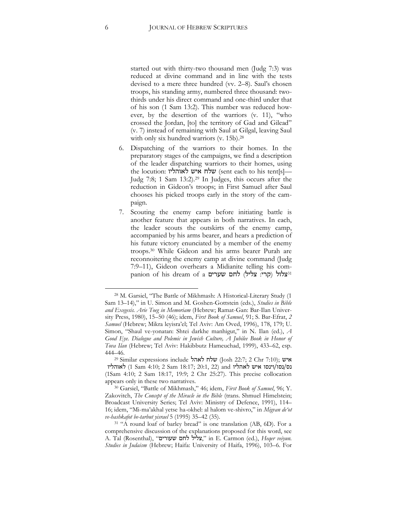started out with thirty-two thousand men (Judg 7:3) was reduced at divine command and in line with the tests devised to a mere three hundred (vv. 2–8). Saul's chosen troops, his standing army, numbered three thousand: twothirds under his direct command and one-third under that of his son (1 Sam 13:2). This number was reduced however, by the desertion of the warriors (v. 11), "who crossed the Jordan, [to] the territory of Gad and Gilead" (v. 7) instead of remaining with Saul at Gilgal, leaving Saul with only six hundred warriors (v. 15b). 28

- <span id="page-6-0"></span>6. Dispatching of the warriors to their homes. In the preparatory stages of the campaigns, we find a description of the leader dispatching warriors to their homes, using the locution: שלח איש לאוהליו (sent each to his tent[s]— Judg 7:8; 1 Sam 13:2).<sup>29</sup> In Judges, this occurs after the reduction in Gideon's troops; in First Samuel after Saul chooses his picked troops early in the story of the campaign.
- 7. Scouting the enemy camp before initiating battle is another feature that appears in both narratives. In each, the leader scouts the outskirts of the enemy camp, accompanied by his arms bearer, and hears a prediction of his future victory enunciated by a member of the enemy troops. <sup>30</sup> While Gideon and his arms bearer Purah are reconnoitering the enemy camp at divine command (Judg 7:9–11), Gideon overhears a Midianite telling his companion of his dream of a וצלול (קרי: צליל) לחם שערים

<sup>28</sup> M. Garsiel, "The Battle of Mikhmash: A Historical-Literary Study (1 Sam 13–14)," in U. Simon and M. Goshen-Gottstein (eds.), *Studies in Bible and Exegesis. Arie Toeg in Memoriam* (Hebrew; Ramat-Gan: Bar-Ilan University Press, 1980), 15–50 (46); idem, *First Book of Samuel*, 91; S. Bar-Efrat, *2 Samuel* (Hebrew; Mikra leyisra'el; Tel Aviv: Am Oved, 1996), 178, 179; U. Simon, "Shaul ve-yonatan: Shtei darkhe manhigut," in N. Ilan (ed.), *A Good Eye. Dialogue and Polemic in Jewish Culture, A Jubilee Book in Honor of Tova Ilan* (Hebrew; Tel Aviv: Hakibbutz Hameuchad, 1999), 433–62, esp. 444–46.

<sup>&</sup>lt;sup>29</sup> Similar expressions include **לאהל (J**osh 22:7; 2 Chr 7:10); איש נס/נסו/וינסו איש לאהליו and) 22 20:1, 22 and) לאוהליו (1Sam 4:10; 2 Sam 18:17, 19:9; 2 Chr 25:27). This precise collocation appears only in these two narratives.

<sup>30</sup> Garsiel, "Battle of Mikhmash," 46; idem, *First Book of Samuel*, 96; Y. Zakovitch, *The Concept of the Miracle in the Bible* (trans. Shmuel Himelstein; Broadcast University Series; Tel Aviv: Ministry of Defence, 1991), 114– 16; idem, "Mi-ma'akhal yetse ha-okhel: al halom ve-shivro," in *Migvan de'ot ve-hashkafot be-tarbut yisrael* 5 (1995) 35–42 (35).

<sup>&</sup>lt;sup>31</sup> "A round loaf of barley bread" is one translation (AB, 6D). For a comprehensive discussion of the explanations proposed for this word, see A. Tal (Rosenthal), "שעורים לחם צליל, "in E. Carmon (ed.), *Heqer veiyun. Studies in Judaism* (Hebrew; Haifa: University of Haifa, 1996), 103–6. For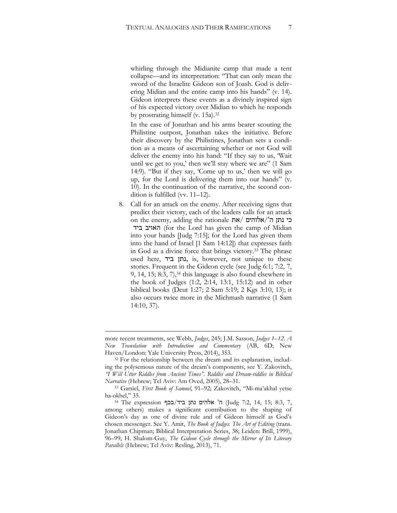whirling through the Midianite camp that made a tent collapse—and its interpretation: "That can only mean the sword of the Israelite Gideon son of Joash. God is delivering Midian and the entire camp into his hands" (v. 14). Gideon interprets these events as a divinely inspired sign of his expected victory over Midian to which he responds by prostrating himself (v. 15a). 32

In the case of Jonathan and his arms bearer scouting the Philistine outpost, Jonathan takes the initiative. Before their discovery by the Philistines, Jonathan sets a condition as a means of ascertaining whether or not God will deliver the enemy into his hand: "If they say to us, 'Wait until we get to you,' then we'll stay where we are" (1 Sam 14:9). "But if they say, 'Come up to us,' then we will go up, for the Lord is delivering them into our hands" (v. 10). In the continuation of the narrative, the second condition is fulfilled (vv. 11–12).

8. Call for an attack on the enemy. After receiving signs that predict their victory, each of the leaders calls for an attack on the enemy, adding the rationale  $\frac{1}{N}$ את/'הים/את ביד האויב) for the Lord has given the camp of Midian into your hands [Judg 7:15]; for the Lord has given them into the hand of Israel [1 Sam 14:12]) that expresses faith in God as a divine force that brings victory. <sup>33</sup> The phrase used here, ביד נתן, is, however, not unique to these stories. Frequent in the Gideon cycle (see Judg 6:1; 7:2, 7, 9, 14, 15; 8:3, 7),<sup>34</sup> this language is also found elsewhere in the book of Judges (1:2, 2:14, 13:1, 15:12) and in other biblical books (Deut 1:27; 2 Sam 5:19; 2 Kgs 3:10, 13); it also occurs twice more in the Michmash narrative (1 Sam 14:10, 37).

1

more recent treatments, see Webb, *Judges*, 245; J.M. Sasson, *Judges 1–12*. *A New Translation with Introduction and Commentary* (AB, 6D; New Haven/London: Yale University Press, 2014), 353.

<sup>&</sup>lt;sup>32</sup> For the relationship between the dream and its explanation, including the polysemous nature of the dream's components, see Y. Zakovitch, *"I Will Utter Riddles from Ancient Times". Riddles and Dream-riddles in Biblical Narrative* (Hebrew; Tel Aviv: Am Oved, 2005), 28–31.

<sup>33</sup> Garsiel, *First Book of Samuel*, 91–92; Zakovitch, "Mi-ma'akhal yetse ha-okhel," 35.

<sup>&</sup>lt;sup>34</sup> The expression להים נתן ביד/בכף (Judg 7:2, 14, 15; 8:3, 7, among others) makes a significant contribution to the shaping of Gideon's day as one of divine rule and of Gideon himself as God's chosen messenger. See Y. Amit, *The Book of Judges. The Art of Editing* (trans. Jonathan Chipman; Biblical Interpretation Series, 38; Leiden: Brill, 1999), 96–99; H. Shalom-Guy, *The Gideon Cycle through the Mirror of Its Literary Parallels* (Hebrew; Tel Aviv: Resling, 2013), 71.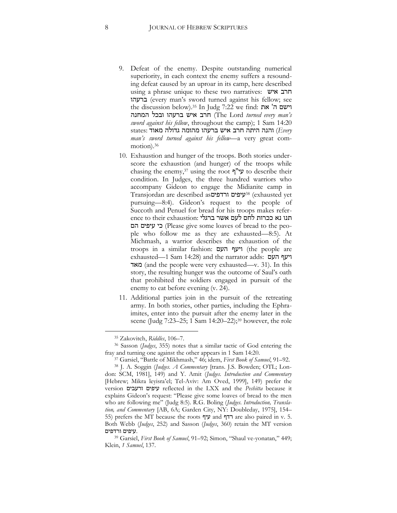- 9. Defeat of the enemy. Despite outstanding numerical superiority, in each context the enemy suffers a resounding defeat caused by an uproar in its camp, here described using a phrase unique to these two narratives: איש חרב ברעהו) every man's sword turned against his fellow; see the discussion below).<sup>35</sup> In Judg 7:22 we find: וישם ה' המחנה ובכל ברעהו איש חרב) The Lord *turned every man's sword against his fellow*, throughout the camp); 1 Sam 14:20  *Every* (והנה היתה חרב איש ברעהו מהומה גדולה מאוד :states *man's sword turned against his fellow—*a very great commotion).<sup>36</sup>
- 10. Exhaustion and hunger of the troops. Both stories underscore the exhaustion (and hunger) of the troops while chasing the enemy,<sup>37</sup> using the root  $\psi$ '' $\psi$  to describe their condition. In Judges, the three hundred warriors who accompany Gideon to engage the Midianite camp in Transjordan are described asורדפים עיפים38) exhausted yet pursuing—8:4). Gideon's request to the people of Succoth and Penuel for bread for his troops makes reference to their exhaustion: תנו נא ככרות לחם לעם אשר ברגלי הם עיפים כי) Please give some loaves of bread to the people who follow me as they are exhausted—8:5). At Michmash, a warrior describes the exhaustion of the troops in a similar fashion: העם ויעף) the people are exhausted—1 Sam 14:28) and the narrator adds: העם ויעף מאד) and the people were very exhausted—v. 31). In this story, the resulting hunger was the outcome of Saul's oath that prohibited the soldiers engaged in pursuit of the enemy to eat before evening (v. 24).
- 11. Additional parties join in the pursuit of the retreating army. In both stories, other parties, including the Ephraimites, enter into the pursuit after the enemy later in the scene (Judg 7:23–25; 1 Sam 14:20–22); <sup>39</sup> however, the role

<sup>35</sup> Zakovitch, *Riddles*, 106–7.

<sup>36</sup> Sasson (*Judges*, 355) notes that a similar tactic of God entering the fray and turning one against the other appears in 1 Sam 14:20.

<sup>37</sup> Garsiel, "Battle of Mikhmash," 46; idem, *First Book of Samuel*, 91–92.

<sup>38</sup> J. A. Soggin (*Judges. A Commentary* [trans. J.S. Bowden; OTL; London: SCM, 1981], 149) and Y. Amit (*Judges. Introduction and Commentary* [Hebrew; Mikra leyisra'el; Tel-Aviv: Am Oved, 1999], 149) prefer the version ורעבים עיפים reflected in the LXX and the *Peshitta* because it explains Gideon's request: "Please give some loaves of bread to the men who are following me" (Judg 8:5). R.G. Boling (*Judges. Introduction, Translation, and Commentary* [AB, 6A; Garden City, NY: Doubleday, 1975], 154– 55) prefers the MT because the roots עיף and רדף are also paired in v. 5. Both Webb (*Judges*, 252) and Sasson (*Judges*, 360) retain the MT version .עיפים ורדפים

<sup>39</sup> Garsiel, *First Book of Samuel*, 91–92; Simon, "Shaul ve-yonatan," 449; Klein, *1 Samuel*, 137.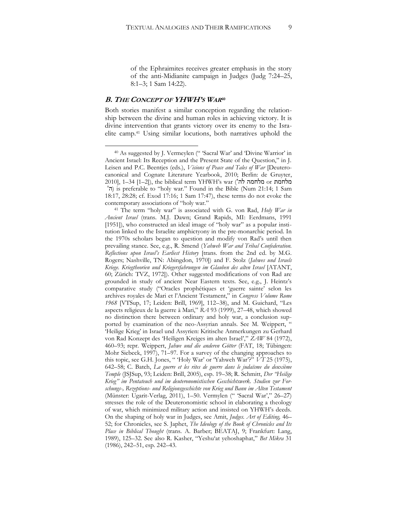of the Ephraimites receives greater emphasis in the story of the anti-Midianite campaign in Judges (Judg 7:24–25, 8:1–3; 1 Sam 14:22).

#### **B. THE CONCEPT OF YHWH'S WAR40**

 $\overline{a}$ 

Both stories manifest a similar conception regarding the relationship between the divine and human roles in achieving victory. It is divine intervention that grants victory over its enemy to the Israelite camp.<sup>41</sup> Using similar locutions, both narratives uphold the

<sup>&</sup>lt;sup>40</sup> As suggested by J. Vermeylen (" 'Sacral War' and 'Divine Warrior' in Ancient Israel: Its Reception and the Present State of the Question," in J. Leisen and P.C. Beentjes (eds.), *Visions of Peace and Tales of War* [Deuterocanonical and Cognate Literature Yearbook, 2010; Berlin: de Gruyter, 2010], 1–34 [1–2]), the biblical term YHWH's war ('לה מלחמה or מלחמת 'ה) is preferable to "holy war." Found in the Bible (Num 21:14; 1 Sam 18:17, 28:28; cf. Exod 17:16; 1 Sam 17:47), these terms do not evoke the contemporary associations of "holy war."

<sup>41</sup> The term "holy war" is associated with G. von Rad, *Holy War in Ancient Israel* (trans. M.J. Dawn; Grand Rapids, MI: Eerdmans, 1991 [1951]), who constructed an ideal image of "holy war" as a popular institution linked to the Israelite amphictyony in the pre-monarchic period. In the 1970s scholars began to question and modify von Rad's until then prevailing stance. See, e.g., R. Smend (*Yahweh War and Tribal Confederation. Reflections upon Israel's Earliest History* [trans. from the 2nd ed. by M.G. Rogers; Nashville, TN: Abingdon, 1970]) and F. Stolz (*Jahwes und Israels Kriege. Kriegtheorien und Kriegersfahrungen im Glauben des alten Israel* [ATANT, 60; Zürich: TVZ, 1972]). Other suggested modifications of von Rad are grounded in study of ancient Near Eastern texts. See, e.g., J. Heintz's comparative study ("Oracles prophétiques et 'guerre sainte' selon les archives royales de Mari et l'Ancient Testament," in *Congress Volume Rome 1968* [VTSup, 17; Leiden: Brill, 1969], 112–38), and M. Guichard, "Les aspects religieux de la guerre à Mari," *RA* 93 (1999), 27–48, which showed no distinction there between ordinary and holy war, a conclusion supported by examination of the neo-Assyrian annals. See M. Weippert, 'Heilige Krieg' in Israel und Assyrien: Kritische Anmerkungen zu Gerhard von Rad Konzept des 'Heiligen Kreiges im alten Israel'," *ZAW* 84 (1972), 460–93; repr. Weippert, *Jahwe und die anderen Götter* (FAT, 18; Tübingen: Mohr Siebeck, 1997), 71–97. For a survey of the changing approaches to this topic, see G.H. Jones, " 'Holy War' or 'Yahweh War'?" *VT* 25 (1975), 642–58; C. Batch, *La guerre et les rites de guerre dans le judaïsme du deuxième Temple* (JSJSup, 93; Leiden: Brill, 2005), esp. 19–38; R. Schmitt, *Der "Heilige Krieg" im Pentateuch und im deuteronomistischen Geschichtswerk. Studien zur Forschungs-, Rezeptions- und Religionsgeschichte von Krieg und Bann im Alten Testament*  (Münster: Ugarit-Verlag, 2011), 1–50. Vermylen (" 'Sacral War'," 26–27) stresses the role of the Deuteronomistic school in elaborating a theology of war, which minimized military action and insisted on YHWH's deeds. On the shaping of holy war in Judges, see Amit, *Judges. Art of Editing,* 46– 52; for Chronicles, see S. Japhet, *The Ideology of the Book of Chronicles and Its Place in Biblical Thought* (trans. A. Barber; BEATAJ, 9; Frankfurt: Lang, 1989), 125–32. See also R. Kasher, "Yeshu'at yehoshaphat," *Bet Mikra* 31 (1986), 242–51, esp. 242–43.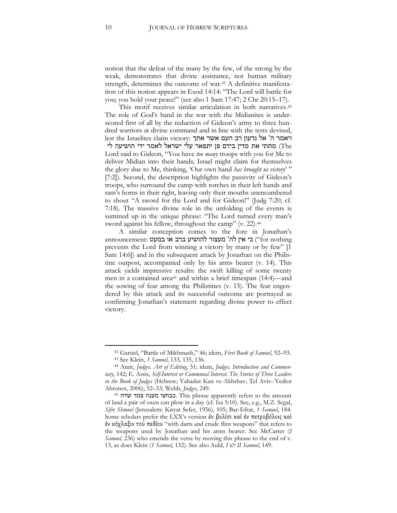notion that the defeat of the many by the few, of the strong by the weak, demonstrates that divine assistance, not human military strength, determines the outcome of war.<sup>42</sup> A definitive manifestation of this notion appears in Exod 14:14: "The Lord will battle for you; you hold your peace!" (see also 1 Sam 17:47; 2 Chr 20:15–17).

This motif receives similar articulation in both narratives. 43 The role of God's hand in the war with the Midianites is underscored first of all by the reduction of Gideon's army to three hundred warriors at divine command and in line with the tests devised, lest the Israelites claim victory: ויאמר ה' אל גדעון רב העם אשר אתך The (מתתי את מדין בידם פן יתפאר עלי ישראל לאמר ידי הושיעה לי Lord said to Gideon, "You have *too many* troops with you for Me to deliver Midian into their hands; Israel might claim for themselves the glory due to Me, thinking, 'Our own hand *has brought us victory*' " [7:2]). Second, the description highlights the passivity of Gideon's troops, who surround the camp with torches in their left hands and ram's horns in their right, leaving only their mouths unencumbered to shout "A sword for the Lord and for Gideon!" (Judg 7:20; cf. 7:18). The massive divine role in the unfolding of the events is summed up in the unique phrase: "The Lord turned every man's sword against his fellow, throughout the camp" (v. 22). 44

A similar conception comes to the fore in Jonathan's announcement: כי אין לה' מעצור להושיע ברב או במעט :for nothing prevents the Lord from winning a victory by many or by few" [1 Sam 14:6]) and in the subsequent attack by Jonathan on the Philistine outpost, accompanied only by his arms bearer (v. 14). This attack yields impressive results: the swift killing of some twenty men in a contained area<sup>45</sup> and within a brief timespan (14:4)—and the sowing of fear among the Philistines (v. 15). The fear engendered by this attack and its successful outcome are portrayed as confirming Jonathan's statement regarding divine power to effect victory.

<sup>42</sup> Garsiel, "Battle of Mikhmash," 46; idem, *First Book of Samuel*, 92–93.

<sup>43</sup> See Klein, *1 Samuel*, 133, 135, 136.

<sup>44</sup> Amit, *Judges. Art of Editing*, 51; idem, *Judges. Introduction and Commentary*, 142; E. Assis, *Self-Interest or Communal Interest. The Stories of Three Leaders in the Book of Judges* (Hebrew; Yahadut Kan ve-Akhshav; Tel Aviv: Yediot Ahronot, 2006), 52–53; Webb, *Judges*, 249.

<sup>45</sup> שדה צמד מענה כבחצי. This phrase apparently refers to the amount of land a pair of oxen can plow in a day (cf. Isa 5:10). See, e.g., M.Z. Segal, *Sifre Shmuel* (Jerusalem: Kiryat Sefer, 1956), 105; Bar-Efrat, *1 Samuel*, 184. Some scholars prefer the LXX's version ἐν βολίσι καὶ ἐν πετροβόλοις καὶ ἐν κόχλαξιν τοῡ πεδίου "with darts and crude flint weapons" that refers to the weapons used by Jonathan and his arms bearer. See McCarter (*I Samuel,* 236) who emends the verse by moving this phrase to the end of v. 13, as does Klein (*1 Samuel*, 132). See also Auld, *I & II Samuel*, 149.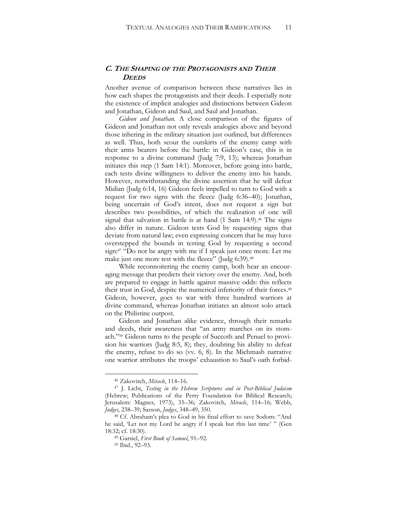# **C. THE SHAPING OF THE PROTAGONISTS AND THEIR DEEDS**

Another avenue of comparison between these narratives lies in how each shapes the protagonists and their deeds. I especially note the existence of implicit analogies and distinctions between Gideon and Jonathan, Gideon and Saul, and Saul and Jonathan.

*Gideon and Jonathan.* A close comparison of the figures of Gideon and Jonathan not only reveals analogies above and beyond those inhering in the military situation just outlined, but differences as well. Thus, both scout the outskirts of the enemy camp with their arms bearers before the battle: in Gideon's case, this is in response to a divine command (Judg 7:9, 13); whereas Jonathan initiates this step (1 Sam 14:1). Moreover, before going into battle, each tests divine willingness to deliver the enemy into his hands. However, notwithstanding the divine assertion that he will defeat Midian (Judg 6:14, 16) Gideon feels impelled to turn to God with a request for two signs with the fleece (Judg 6:36–40); Jonathan, being uncertain of God's intent, does not request a sign but describes two possibilities, of which the realization of one will signal that salvation in battle is at hand (1 Sam 14:9). <sup>46</sup> The signs also differ in nature. Gideon tests God by requesting signs that deviate from natural law; even expressing concern that he may have overstepped the bounds in testing God by requesting a second sign: <sup>47</sup> "Do not be angry with me if I speak just once more. Let me make just one more test with the fleece" (Judg 6:39). 48

While reconnoitering the enemy camp, both hear an encouraging message that predicts their victory over the enemy. And, both are prepared to engage in battle against massive odds: this reflects their trust in God, despite the numerical inferiority of their forces. 49 Gideon, however, goes to war with three hundred warriors at divine command, whereas Jonathan initiates an almost solo attack on the Philistine outpost.

Gideon and Jonathan alike evidence, through their remarks and deeds, their awareness that "an army marches on its stomach." <sup>50</sup> Gideon turns to the people of Succoth and Penuel to provision his warriors (Judg 8:5, 8); they, doubting his ability to defeat the enemy, refuse to do so (vv. 6, 8). In the Michmash narrative one warrior attributes the troops' exhaustion to Saul's oath forbid-

<sup>46</sup> Zakovitch, *Miracle*, 114–16.

<sup>47</sup> J. Licht, *Testing in the Hebrew Scriptures and in Post-Biblical Judaism*  (Hebrew; Publications of the Perry Foundation for Biblical Research; Jerusalem: Magnes, 1973), 35–36; Zakovitch, *Miracle*, 114–16; Webb, *Judges*, 238–39; Sasson, *Judges*, 348–49, 350.

<sup>48</sup> Cf. Abraham's plea to God in his final effort to save Sodom: "And he said, 'Let not my Lord be angry if I speak but this last time' " (Gen 18:32; cf. 18:30).

<sup>49</sup> Garsiel, *First Book of Samuel*, 91–92.

<sup>50</sup> Ibid., 92–93.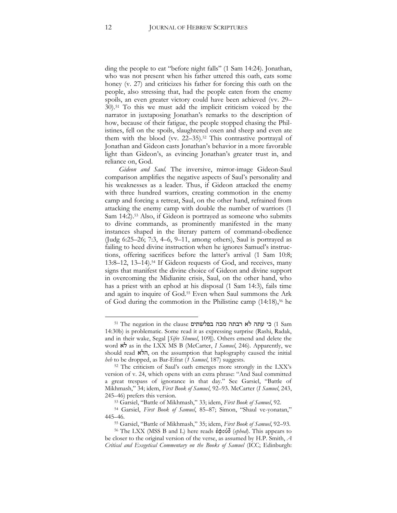ding the people to eat "before night falls" (1 Sam 14:24). Jonathan, who was not present when his father uttered this oath, eats some honey (v. 27) and criticizes his father for forcing this oath on the people, also stressing that, had the people eaten from the enemy spoils, an even greater victory could have been achieved (vv. 29– 30). <sup>51</sup> To this we must add the implicit criticism voiced by the narrator in juxtaposing Jonathan's remarks to the description of how, because of their fatigue, the people stopped chasing the Philistines, fell on the spoils, slaughtered oxen and sheep and even ate them with the blood (vv. 22–35). <sup>52</sup> This contrastive portrayal of Jonathan and Gideon casts Jonathan's behavior in a more favorable light than Gideon's, as evincing Jonathan's greater trust in, and reliance on, God.

*Gideon and Saul.* The inversive, mirror-image Gideon-Saul comparison amplifies the negative aspects of Saul's personality and his weaknesses as a leader. Thus, if Gideon attacked the enemy with three hundred warriors, creating commotion in the enemy camp and forcing a retreat, Saul, on the other hand, refrained from attacking the enemy camp with double the number of warriors (1 Sam 14:2). <sup>53</sup> Also, if Gideon is portrayed as someone who submits to divine commands, as prominently manifested in the many instances shaped in the literary pattern of command-obedience (Judg 6:25–26; 7:3, 4–6, 9–11, among others), Saul is portrayed as failing to heed divine instruction when he ignores Samuel's instructions, offering sacrifices before the latter's arrival (1 Sam 10:8; 13:8–12, 13–14). <sup>54</sup> If Gideon requests of God, and receives, many signs that manifest the divine choice of Gideon and divine support in overcoming the Midianite crisis, Saul, on the other hand, who has a priest with an ephod at his disposal (1 Sam 14:3), fails time and again to inquire of God. <sup>55</sup> Even when Saul summons the Ark of God during the commotion in the Philistine camp (14:18),<sup>56</sup> he

<sup>51</sup> The negation in the clause בי עתה לא רבתה מכה בפלשתים cl Sam 14:30b) is problematic. Some read it as expressing surprise (Rashi, Radak, and in their wake, Segal [*Sifre Shmuel*, 109]). Others emend and delete the word לא as in the LXX MS B (McCarter, *I Samuel*, 246). Apparently, we should read הלא, on the assumption that haplography caused the initial *heh* to be dropped, as Bar-Efrat (*1 Samuel*, 187) suggests.

<sup>52</sup> The criticism of Saul's oath emerges more strongly in the LXX's version of v. 24, which opens with an extra phrase: "And Saul committed a great trespass of ignorance in that day." See Garsiel, "Battle of Mikhmash," 34; idem, *First Book of Samuel*, 92–93. McCarter (*I Samuel*, 243, 245–46) prefers this version.

<sup>53</sup> Garsiel, "Battle of Mikhmash," 33; idem, *First Book of Samuel*, 92.

<sup>54</sup> Garsiel, *First Book of Samuel*, 85–87; Simon, "Shaul ve-yonatan," 445–46.

<sup>55</sup> Garsiel, "Battle of Mikhmash," 35; idem, *First Book of Samuel*, 92–93.

<sup>56</sup> The LXX (MSS B and L) here reads ἐφούδ (*ephod*). This appears to be closer to the original version of the verse, as assumed by H.P. Smith, *A Critical and Exegetical Commentary on the Books of Samuel* (ICC; Edinburgh: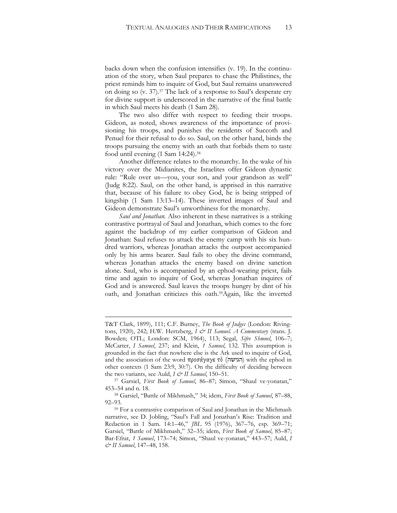backs down when the confusion intensifies (v. 19). In the continuation of the story, when Saul prepares to chase the Philistines, the priest reminds him to inquire of God, but Saul remains unanswered on doing so (v. 37). <sup>57</sup> The lack of a response to Saul's desperate cry for divine support is underscored in the narrative of the final battle in which Saul meets his death (1 Sam 28).

The two also differ with respect to feeding their troops. Gideon, as noted, shows awareness of the importance of provisioning his troops, and punishes the residents of Succoth and Penuel for their refusal to do so. Saul, on the other hand, binds the troops pursuing the enemy with an oath that forbids them to taste food until evening (1 Sam 14:24). 58

Another difference relates to the monarchy. In the wake of his victory over the Midianites, the Israelites offer Gideon dynastic rule: "Rule over us—you, your son, and your grandson as well" (Judg 8:22). Saul, on the other hand, is apprised in this narrative that, because of his failure to obey God, he is being stripped of kingship (1 Sam 13:13–14). These inverted images of Saul and Gideon demonstrate Saul's unworthiness for the monarchy.

*Saul and Jonathan.* Also inherent in these narratives is a striking contrastive portrayal of Saul and Jonathan, which comes to the fore against the backdrop of my earlier comparison of Gideon and Jonathan: Saul refuses to attack the enemy camp with his six hundred warriors, whereas Jonathan attacks the outpost accompanied only by his arms bearer. Saul fails to obey the divine command, whereas Jonathan attacks the enemy based on divine sanction alone. Saul, who is accompanied by an ephod-wearing priest, fails time and again to inquire of God, whereas Jonathan inquires of God and is answered. Saul leaves the troops hungry by dint of his oath, and Jonathan criticizes this oath. <sup>59</sup>Again, like the inverted

**.** 

T&T Clark, 1899), 111; C.F. Burney, *The Book of Judges* (London: Rivingtons, 1920), 242; H.W. Hertzberg, *I & II Samuel. A Commentary* (trans. J. Bowden; OTL; London: SCM, 1964), 113; Segal, *Sifre Shmuel*, 106–7; McCarter, *I Samuel*, 237; and Klein, *1 Samuel*, 132. This assumption is grounded in the fact that nowhere else is the Ark used to inquire of God, and the association of the word προσάγαγε τὸ (הגישה) with the ephod in other contexts (1 Sam 23:9, 30:7). On the difficulty of deciding between the two variants, see Auld, *I & II Samuel*, 150–51.

<sup>57</sup> Garsiel, *First Book of Samuel*, 86–87; Simon, "Shaul ve-yonatan," 453–54 and n. 18.

<sup>58</sup> Garsiel, "Battle of Mikhmash," 34; idem, *First Book of Samuel*, 87–88, 92–93.

<sup>59</sup> For a contrastive comparison of Saul and Jonathan in the Michmash narrative, see D. Jobling, "Saul's Fall and Jonathan's Rise: Tradition and Redaction in 1 Sam. 14:1–46," *JBL* 95 (1976), 367–76, esp. 369–71; Garsiel, "Battle of Mikhmash," 32–35; idem, *First Book of Samuel*, 85–87; Bar-Efrat, *1 Samuel*, 173–74; Simon, "Shaul ve-yonatan," 443–57; Auld, *I & II Samuel*, 147–48, 158.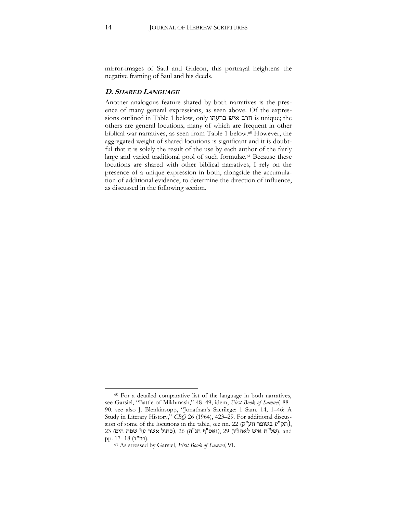mirror-images of Saul and Gideon, this portrayal heightens the negative framing of Saul and his deeds.

#### **D. SHARED LANGUAGE**

Another analogous feature shared by both narratives is the presence of many general expressions, as seen above. Of the expressions outlined in Table 1 below, only ברעהו איש חרב is unique; the others are general locutions, many of which are frequent in other biblical war narratives, as seen from Table 1 below. <sup>60</sup> However, the aggregated weight of shared locutions is significant and it is doubtful that it is solely the result of the use by each author of the fairly large and varied traditional pool of such formulae.<sup>61</sup> Because these locutions are shared with other biblical narratives, I rely on the presence of a unique expression in both, alongside the accumulation of additional evidence, to determine the direction of influence, as discussed in the following section.

 $\ddot{\phantom{a}}$ <sup>60</sup> For a detailed comparative list of the language in both narratives, see Garsiel, "Battle of Mikhmash," 48–49; idem, *First Book of Samuel*, 88– 90. see also J. Blenkinsopp, "Jonathan's Sacrilege: 1 Sam. 14, 1–46: A Study in Literary History," *CBQ* 26 (1964), 423–29. For additional discus-sion of some of the locutions in the table, see nn. [22](#page-5-0) (תק"ע בשופר וזע"ק), and ,)של"ח איש לאהליו) [29](#page-6-0) ,(ואס"ף חנ"ה) [26](#page-5-1) ,(כחול אשר על שפת הים) 23 .(חר"ד) 18 17- .pp

<sup>61</sup> As stressed by Garsiel, *First Book of Samuel*, 91.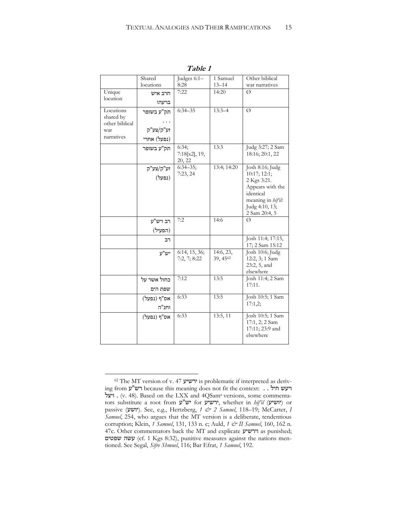|                                                               | Shared<br>locutions                    | Judges 6:1-<br>8:28              | 1 Samuel<br>$13 - 14$ | Other biblical<br>war narratives                                                                                                         |
|---------------------------------------------------------------|----------------------------------------|----------------------------------|-----------------------|------------------------------------------------------------------------------------------------------------------------------------------|
| Unique<br>locution                                            | חרב איש                                | 7:22                             | 14:20                 | Ø                                                                                                                                        |
|                                                               | ברעהו                                  |                                  |                       |                                                                                                                                          |
| Locutions<br>shared by<br>other biblical<br>war<br>narratives | תק"ע בשופר<br>זע"ק/צע"ק<br>(נפעל) אחרי | $6:34 - 35$                      | $13:3 - 4$            | Ø                                                                                                                                        |
|                                                               | תק"ע בשופר                             | 6:34;<br>7:18[x2], 19,<br>20, 22 | 13:3                  | Judg 3:27; 2 Sam<br>18:16; 20:1, 22                                                                                                      |
|                                                               | זע"ק/צע"ק<br>(נפעל)                    | $6:34 - 35;$<br>7:23,24          | 13:4; 14:20           | Josh 8:16; Judg<br>10:17; 12:1;<br>2 Kgs 3:21.<br>Appears with the<br>identical<br>meaning in hif'il:<br>Judg 4:10, 13;<br>2 Sam 20:4, 5 |
|                                                               | רב ויש"ע                               | 7:2                              | 14:6                  | Ø                                                                                                                                        |
|                                                               | (הפעיל)                                |                                  |                       |                                                                                                                                          |
|                                                               | רב                                     |                                  |                       | Josh 11:4; 17:15,<br>17; 2 Sam 15:12                                                                                                     |
|                                                               | יש"ע                                   | 6:14, 15, 36;<br>7:2, 7; 8:22    | 14:6, 23,<br>39, 4562 | Josh 10:6; Judg<br>12:2, 3; 1 Sam<br>23:2, 5, and<br>elsewhere                                                                           |
|                                                               | כחול אשר על                            | 7:12                             | 13:5                  | Josh 11:4; 2 Sam<br>17:11.                                                                                                               |
|                                                               | שפת הים                                |                                  |                       |                                                                                                                                          |
|                                                               | אס"ף (נפעל)<br>וחנ"ה                   | 6:33                             | 13:5                  | Josh 10:5; 1 Sam<br>17:1,2;                                                                                                              |
|                                                               | אס"ף (נפעל)                            | 6:33                             | 13:5, 11              | Josh 10:5; 1 Sam<br>17:1, 2; 2 Sam<br>17:11; 23:9 and<br>elsewhere                                                                       |

**Table 1**

<sup>62</sup> The MT version of v. 47 ירשיע is problematic if interpreted as deriving from רש"ע because this meaning does not fit the context: . . חיעש חיל ויצל . (v. 48). Based on the LXX and 4QSam<sup>a</sup> versions, some commentators substitute a root from ירשיע, whether in *hif'il* (יושיע) or passive (יושע(. See, e.g., Hertzberg, *1 & 2 Samuel*, 118–19; McCarter, *I Samuel*, 254, who argues that the MT version is a deliberate, tendentious corruption; Klein, *1 Samuel*, 131, 133 n. c; Auld, *1 & II Samuel*, 160, 162 n. 47c. Other commentators back the MT and explicate וירשיע as punished; שפטים עשה) cf. 1 Kgs 8:32), punitive measures against the nations mentioned. See Segal, *Sifre Shmuel*, 116; Bar Efrat, *1 Samuel*, 192.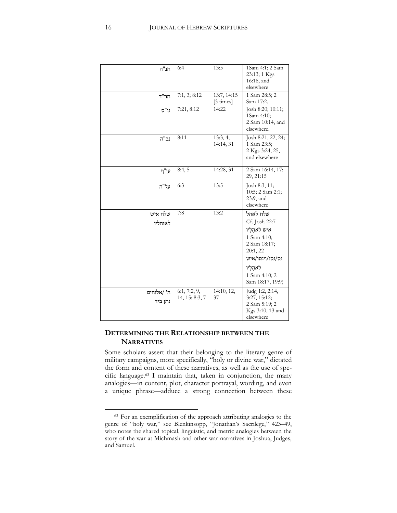| חנ"ה                  | 6:4                            | 13:5                               | 1Sam 4:1; 2 Sam<br>23:13; 1 Kgs<br>16:16, and<br>elsewhere                                                                                                |
|-----------------------|--------------------------------|------------------------------------|-----------------------------------------------------------------------------------------------------------------------------------------------------------|
| חר"ד                  | 7:1, 3; 8:12                   | 13:7, 14:15<br>$[3 \text{ times}]$ | 1 Sam 28:5; 2<br>Sam 17:2.                                                                                                                                |
| נו"ס                  | 7:21, 8:12                     | 14:22                              | Josh 8:20; 10:11;<br>1Sam 4:10;<br>2 Sam 10:14, and<br>elsewhere.                                                                                         |
| נכ"ה                  | 8:11                           | 13:3, 4;<br>14:14, 31              | Josh 8:21, 22, 24;<br>1 Sam 23:5;<br>2 Kgs 3:24, 25,<br>and elsewhere                                                                                     |
| עי"ף                  | 8:4,5                          | 14:28, 31                          | 2 Sam 16:14, 17:<br>29, 21:15                                                                                                                             |
| על"ה                  | 6:3                            | 13:5                               | Josh 8:3, 11;<br>10:5; 2 Sam 2:1;<br>23:9, and<br>elsewhere                                                                                               |
| שלח איש<br>לאוהליו    | 7:8                            | 13:2                               | שלח לאהל<br>Cf. Josh 22:7<br>איש לאהַלַיו<br>1 Sam 4:10;<br>2 Sam 18:17;<br>20:1, 22<br>נס/נסו/וינסו/איש<br>לאהַלַיו<br>1 Sam 4:10; 2<br>Sam 18:17, 19:9) |
| ה' /אלוהים<br>נתן ביד | 6:1, 7:2, 9,<br>14, 15; 8:3, 7 | 14:10, 12,<br>37                   | Judg 1:2, 2:14,<br>3:27, 15:12;<br>2 Sam 5:19; 2<br>Kgs 3:10, 13 and<br>elsewhere                                                                         |

# **DETERMINING THE RELATIONSHIP BETWEEN THE NARRATIVES**

Some scholars assert that their belonging to the literary genre of military campaigns, more specifically, "holy or divine war," dictated the form and content of these narratives, as well as the use of specific language.<sup>63</sup> I maintain that, taken in conjunction, the many analogies—in content, plot, character portrayal, wording, and even a unique phrase—adduce a strong connection between these

<sup>&</sup>lt;sup>63</sup> For an exemplification of the approach attributing analogies to the genre of "holy war," see Blenkinsopp, "Jonathan's Sacrilege," 423–49, who notes the shared topical, linguistic, and metric analogies between the story of the war at Michmash and other war narratives in Joshua, Judges, and Samuel.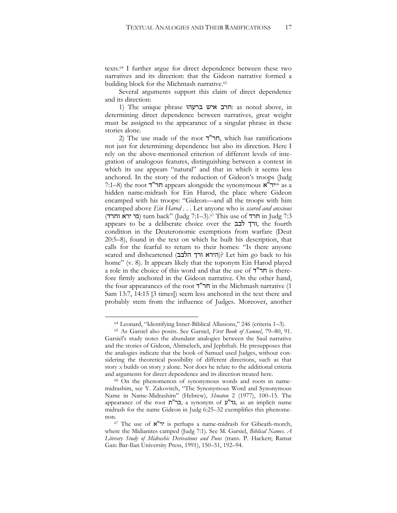texts.<sup>64</sup> I further argue for direct dependence between these two narratives and its direction: that the Gideon narrative formed a building block for the Michmash narrative.<sup>65</sup>

Several arguments support this claim of direct dependence and its direction:

1) The unique phrase הרב איש ברעהו. as noted above, in determining direct dependence between narratives, great weight must be assigned to the appearance of a singular phrase in these stories alone.

2) The use made of the root  $T''$ חר"ד, which has ramifications not just for determining dependence but also its direction. Here I rely on the above-mentioned criterion of different levels of integration of analogous features, distinguishing between a context in which its use appears "natural" and that in which it seems less anchored. In the story of the reduction of Gideon's troops (Judg 7:1–8) the root יר"ח appears alongside the synonymous  $\mathbf{R}^{\prime\prime}$ יר"א $\epsilon$ 6 as a hidden name-midrash for Ein Harod, the place where Gideon encamped with his troops: "Gideon—and all the troops with him encamped above *Ein Harod* . . . Let anyone who is *scared and anxious*  (מי ירא וחרד) turn back" (Judg 7:1–3).<br/> $\delta$  This use of חרד in Judg 7:3 appears to be a deliberate choice over the ורך לבב, condition in the Deuteronomic exemptions from warfare (Deut 20:5–8), found in the text on which he built his description, that calls for the fearful to return to their homes: "Is there anyone scared and disheartened (הירא ורך הלבב)? Let him go back to his home" (v. 8). It appears likely that the toponym Ein Harod played a role in the choice of this word and that the use of ד"חר is therefore firmly anchored in the Gideon narrative. On the other hand, the four appearances of the root ד"חר in the Michmash narrative (1 Sam 13:7, 14:15 [3 times]) seem less anchored in the text there and probably stem from the influence of Judges. Moreover, another

<sup>64</sup> Leonard, "Identifying Inner-Biblical Allusions," 246 (criteria 1–3).

<sup>65</sup> As Garsiel also posits. See Garsiel, *First Book of Samuel*, 79–80, 91. Garsiel's study notes the abundant analogies between the Saul narrative and the stories of Gideon, Abimelech, and Jephthah. He presupposes that the analogies indicate that the book of Samuel used Judges, without considering the theoretical possibility of different directions, such as that story *x* builds on story *y* alone. Nor does he relate to the additional criteria and arguments for direct dependence and its direction treated here.

<sup>66</sup> On the phenomenon of synonymous words and roots in namemidrashim, see Y. Zakovitch, "The Synonymous Word and Synonymous Name in Name-Midrashim" (Hebrew), *Shnaton* 2 (1977), 100–15. The appearance of the root ת"כר, a synonym of ע"גד, as an implicit name midrash for the name Gideon in Judg 6:25–32 exemplifies this phenomenon.

<sup>&</sup>lt;sup>67</sup> The use of  $\mathbf{x}^{\prime\prime}$  is perhaps a name-midrash for Gibeath-moreh, where the Midianites camped (Judg 7:1). See M. Garsiel, *Biblical Names. A Literary Study of Midrashic Derivations and Puns* (trans. P. Hackett; Ramat Gan: Bar-Ilan University Press, 1991), 150–51, 192–94.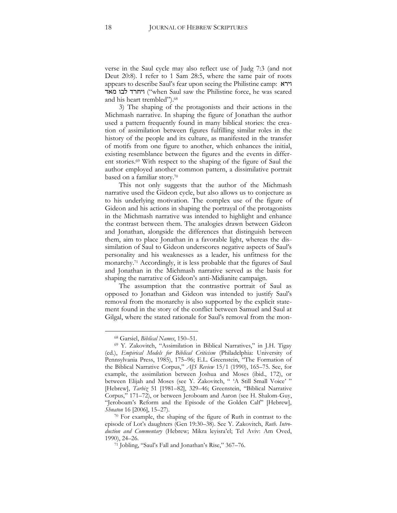verse in the Saul cycle may also reflect use of Judg 7:3 (and not Deut 20:8). I refer to 1 Sam 28:5, where the same pair of roots appears to describe Saul's fear upon seeing the Philistine camp: וירא ייחרד לבו מאד ("when Saul saw the Philistine force, he was scared and his heart trembled"). 68

3) The shaping of the protagonists and their actions in the Michmash narrative. In shaping the figure of Jonathan the author used a pattern frequently found in many biblical stories: the creation of assimilation between figures fulfilling similar roles in the history of the people and its culture, as manifested in the transfer of motifs from one figure to another, which enhances the initial, existing resemblance between the figures and the events in different stories. <sup>69</sup> With respect to the shaping of the figure of Saul the author employed another common pattern, a dissimilative portrait based on a familiar story. 70

This not only suggests that the author of the Michmash narrative used the Gideon cycle, but also allows us to conjecture as to his underlying motivation. The complex use of the figure of Gideon and his actions in shaping the portrayal of the protagonists in the Michmash narrative was intended to highlight and enhance the contrast between them. The analogies drawn between Gideon and Jonathan, alongside the differences that distinguish between them, aim to place Jonathan in a favorable light, whereas the dissimilation of Saul to Gideon underscores negative aspects of Saul's personality and his weaknesses as a leader, his unfitness for the monarchy. <sup>71</sup> Accordingly, it is less probable that the figures of Saul and Jonathan in the Michmash narrative served as the basis for shaping the narrative of Gideon's anti-Midianite campaign.

The assumption that the contrastive portrait of Saul as opposed to Jonathan and Gideon was intended to justify Saul's removal from the monarchy is also supported by the explicit statement found in the story of the conflict between Samuel and Saul at Gilgal, where the stated rationale for Saul's removal from the mon-

<sup>68</sup> Garsiel, *Biblical Names*, 150–51.

<sup>69</sup> Y. Zakovitch, "Assimilation in Biblical Narratives," in J.H. Tigay (ed.), *Empirical Models for Biblical Criticism* (Philadelphia: University of Pennsylvania Press, 1985), 175–96; E.L. Greenstein, "The Formation of the Biblical Narrative Corpus," *AJS Review* 15/1 (1990), 165–75. See, for example, the assimilation between Joshua and Moses (ibid., 172), or between Elijah and Moses (see Y. Zakovitch, " 'A Still Small Voice' " [Hebrew], *Tarbiz* 51 [1981–82], 329–46; Greenstein, "Biblical Narrative Corpus," 171–72), or between Jeroboam and Aaron (see H. Shalom-Guy, "Jeroboam's Reform and the Episode of the Golden Calf" [Hebrew], *Shnaton* 16 [2006], 15–27).

<sup>70</sup> For example, the shaping of the figure of Ruth in contrast to the episode of Lot's daughters (Gen 19:30–38). See Y. Zakovitch, *Ruth. Introduction and Commentary* (Hebrew; Mikra leyisra'el; Tel Aviv: Am Oved, 1990), 24–26.

<sup>71</sup> Jobling, "Saul's Fall and Jonathan's Rise," 367–76.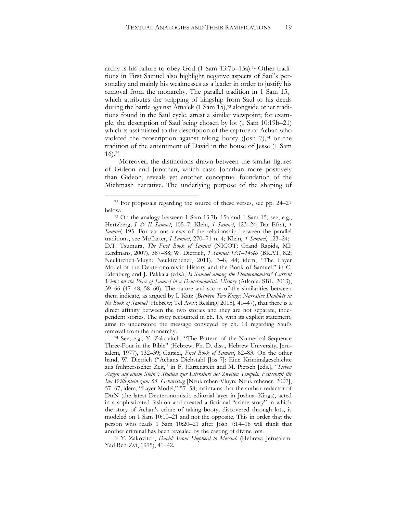<span id="page-19-0"></span>archy is his failure to obey God (1 Sam 13:7b–15a). <sup>72</sup> Other traditions in First Samuel also highlight negative aspects of Saul's personality and mainly his weaknesses as a leader in order to justify his removal from the monarchy. The parallel tradition in 1 Sam 15, which attributes the stripping of kingship from Saul to his deeds during the battle against Amalek (1 Sam 15),<sup>73</sup> alongside other traditions found in the Saul cycle, attest a similar viewpoint; for example, the description of Saul being chosen by lot (1 Sam 10:19b–21) which is assimilated to the description of the capture of Achan who violated the proscription against taking booty (Josh 7), <sup>74</sup> or the tradition of the anointment of David in the house of Jesse (1 Sam 16). 75

Moreover, the distinctions drawn between the similar figures of Gideon and Jonathan, which casts Jonathan more positively than Gideon, reveals yet another conceptual foundation of the Michmash narrative. The underlying purpose of the shaping of

 $\overline{a}$ 

<sup>75</sup> Y. Zakovitch, *David: From Shepherd to Messiah* (Hebrew; Jerusalem: Yad Ben-Zvi, 1995), 41–42.

<sup>72</sup> For proposals regarding the source of these verses, see pp. 24–27 below.

<sup>73</sup> On the analogy between 1 Sam 13:7b–15a and 1 Sam 15, see, e.g., Hertzberg, *I & II Samuel*, 105-7; Klein, *1 Samuel*, 123-24; Bar Efrat, 1 *Samuel*, 195. For various views of the relationship between the parallel traditions, see McCarter, *I Samuel*, 270–71 n. 4; Klein, *1 Samuel*, 123–24; D.T. Tsumura, *The First Book of Samuel* (NICOT; Grand Rapids, MI: Eerdmans, 2007), 387–88; W. Dietrich, *1 Samuel 13:1*–*14:46* (BKAT, 8.2; Neukirchen-Vluyn: Neukirchener, 2011), 7**–**8, 44; idem, "The Layer Model of the Deuteronomistic History and the Book of Samuel," in C. Edenburg and J. Pakkala (eds.), *Is Samuel among the Deuteronomists? Current Views on the Place of Samuel in a Deuteronomistic History* (Atlanta: SBL, 2013), 39–66 (47–48, 58–60). The nature and scope of the similarities between them indicate, as argued by I. Katz (*Between Two Kings: Narrative Doublets in the Book of Samuel* [Hebrew; Tel Aviv: Resling, 2015], 41–47), that there is a direct affinity between the two stories and they are not separate, independent stories. The story recounted in ch. 15, with its explicit statement, aims to underscore the message conveyed by ch. 13 regarding Saul's removal from the monarchy.

<sup>74</sup> See, e.g., Y. Zakovitch, "The Pattern of the Numerical Sequence Three-Four in the Bible" (Hebrew; Ph. D. diss., Hebrew University, Jerusalem, 1977), 132–39; Garsiel, *First Book of Samuel*, 82–83. On the other hand, W. Dietrich ("Achans Diebstahl [Jos 7]: Eine Kriminalgeschichte aus frühpersischer Zeit," in F. Hartenstein and M. Pietsch [eds.], "*Sieben Augen auf einem Stein": Studien zur Literature des Zweiten Tempels. Festschrift für Ina Willi-plein zum 65. Geburtstag* [Neukirchen-Vluyn: Neukirchener, 2007], 57–67; idem, "Layer Model," 57–58, maintains that the author-redactor of DtrN (the latest Deuteronomistic editorial layer in Joshua–Kings), acted in a sophisticated fashion and created a fictional "crime story" in which the story of Achan's crime of taking booty, discovered through lots, is modeled on 1 Sam 10:10–21 and not the opposite. This in order that the person who reads 1 Sam 10:20–21 after Josh 7:14–18 will think that another criminal has been revealed by the casting of divine lots.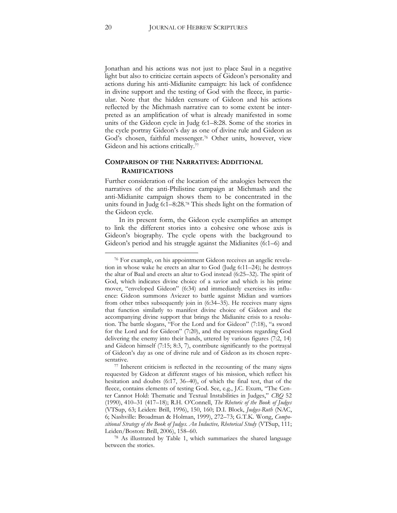Jonathan and his actions was not just to place Saul in a negative light but also to criticize certain aspects of Gideon's personality and actions during his anti-Midianite campaign: his lack of confidence in divine support and the testing of God with the fleece, in particular. Note that the hidden censure of Gideon and his actions reflected by the Michmash narrative can to some extent be interpreted as an amplification of what is already manifested in some units of the Gideon cycle in Judg 6:1–8:28. Some of the stories in the cycle portray Gideon's day as one of divine rule and Gideon as God's chosen, faithful messenger.<sup>76</sup> Other units, however, view Gideon and his actions critically.<sup>77</sup>

### <span id="page-20-0"></span>**COMPARISON OF THE NARRATIVES: ADDITIONAL RAMIFICATIONS**

Further consideration of the location of the analogies between the narratives of the anti-Philistine campaign at Michmash and the anti-Midianite campaign shows them to be concentrated in the units found in Judg 6:1–8:28.<sup>78</sup> This sheds light on the formation of the Gideon cycle.

In its present form, the Gideon cycle exemplifies an attempt to link the different stories into a cohesive one whose axis is Gideon's biography. The cycle opens with the background to Gideon's period and his struggle against the Midianites (6:1–6) and

<sup>76</sup> For example, on his appointment Gideon receives an angelic revelation in whose wake he erects an altar to God (Judg 6:11–24); he destroys the altar of Baal and erects an altar to God instead (6:25–32). The spirit of God, which indicates divine choice of a savior and which is his prime mover, "enveloped Gideon" (6:34) and immediately exercises its influence: Gideon summons Aviezer to battle against Midian and warriors from other tribes subsequently join in (6:34–35). He receives many signs that function similarly to manifest divine choice of Gideon and the accompanying divine support that brings the Midianite crisis to a resolution. The battle slogans, "For the Lord and for Gideon" (7:18), "a sword for the Lord and for Gideon" (7:20), and the expressions regarding God delivering the enemy into their hands, uttered by various figures (7:2, 14) and Gideon himself (7:15; 8:3, 7), contribute significantly to the portrayal of Gideon's day as one of divine rule and of Gideon as its chosen representative.

<sup>77</sup> Inherent criticism is reflected in the recounting of the many signs requested by Gideon at different stages of his mission, which reflect his hesitation and doubts (6:17, 36–40), of which the final test, that of the fleece, contains elements of testing God. See, e.g., J.C. Exum, "The Center Cannot Hold: Thematic and Textual Instabilities in Judges," *CBQ* 52 (1990), 410–31 (417–18); R.H. O'Connell, *The Rhetoric of the Book of Judges* (VTSup, 63; Leiden: Brill, 1996), 150, 160; D.I. Block, *Judges-Ruth* (NAC, 6; Nashville: Broadman & Holman, 1999), 272–73; G.T.K. Wong, *Compositional Strategy of the Book of Judges. An Inductive, Rhetorical Study* (VTSup, 111; Leiden/Boston: Brill, 2006), 158–60.

<sup>78</sup> As illustrated by Table 1, which summarizes the shared language between the stories.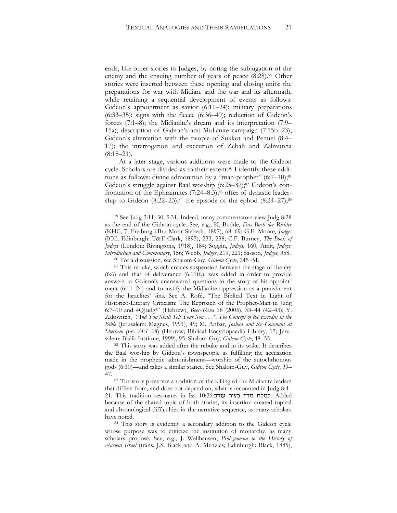ends, like other stories in Judges, by noting the subjugation of the enemy and the ensuing number of years of peace (8:28).<sup>79</sup> Other stories were inserted between these opening and closing units: the preparations for war with Midian, and the war and its aftermath, while retaining a sequential development of events as follows: Gideon's appointment as savior (6:11–24); military preparations (6:33–35); signs with the fleece (6:36–40); reduction of Gideon's forces (7:1–8); the Midianite's dream and its interpretation (7:9– 15a); description of Gideon's anti-Midianite campaign (7:15b–23); Gideon's altercation with the people of Sukkot and Penuel (8:4– 17); the interrogation and execution of Zebah and Zalmunna  $(8:18-21)$ .

At a later stage, various additions were made to the Gideon cycle. Scholars are divided as to their extent.<sup>80</sup> I identify these additions as follows: divine admonition by a "man-prophet"  $(6:7-10)$ ;<sup>81</sup> Gideon's struggle against Baal worship (6:25–32);<sup>82</sup> Gideon's confrontation of the Ephraimites (7:24–8:3);<sup>83</sup> offer of dynastic leadership to Gideon  $(8:22-23)$ ;<sup>84</sup> the episode of the ephod  $(8:24-27)$ ;<sup>85</sup>

 $\overline{a}$ 

<sup>81</sup> This rebuke, which creates suspension between the stage of the cry (6:6) and that of deliverance (6:11ff.), was added in order to provide answers to Gideon's unanswered questions in the story of his appointment (6:11–24) and to justify the Midianite oppression as a punishment for the Israelites' sins. See A. Rofé, "The Biblical Text in Light of Historico-Literary Criticism: The Reproach of the Prophet-Man in Judg 6:7–10 and 4QJudga" (Hebrew), *Beer-Sheva* 18 (2005), 33–44 (42–43); Y. Zakovitch, *"And You Shall Tell Your Son . . .". The Concept of the Exodus in the Bible* (Jerusalem: Magnes, 1991), 49; M. Anbar, *Joshua and the Covenant at Shechem (Jos. 24:1*–*28*) (Hebrew; Biblical Encyclopaedia Library, 17; Jerusalem: Bialik Institute, 1999), 95; Shalom-Guy, *Gideon Cycle*, 48–55.

<sup>82</sup> This story was added after the rebuke and in its wake. It describes the Baal worship by Gideon's townspeople as fulfilling the accusation made in the prophetic admonishment—worship of the autochthonous gods (6:10)—and takes a similar stance. See Shalom-Guy, *Gideon Cycle*, 39– 47.

83 The story preserves a tradition of the killing of the Midianite leaders that differs from, and does not depend on, what is recounted in Judg 8:4– 21. This tradition resonates in Isa 10:26:עורב בצור מדין כמכת. Added because of the shared topic of both stories, its insertion created topical and chronological difficulties in the narrative sequence, as many scholars have noted.

<sup>84</sup> This story is evidently a secondary addition to the Gideon cycle whose purpose was to criticize the institution of monarchy, as many scholars propose. See, e.g., J. Wellhausen, *Prolegomena to the History of Ancient Israel* (trans. J.S. Black and A. Menzies; Edinburgh: Black, 1885),

<sup>79</sup> See Judg 3:11, 30; 5:31. Indeed, many commentators view Judg 8:28 as the end of the Gideon cycle. See, e.g., K. Budde, *Das Buch der Richter*  (KHC, 7; Freiburg i.Br.: Mohr Siebeck, 1897), 68–69; G.F. Moore, *Judges* (ICC; Edinburgh: T&T Clark, 1895), 233, 238; C.F. Burney, *The Book of Judges* (London: Rivingtons, 1918), 184; Soggin, *Judges*, 160; Amit, *Judges. Introduction and Commentary*, 156; Webb, *Judges*, 219, 221; Sasson, *Judges*, 358.

<sup>80</sup> For a discussion, see Shalom-Guy, *Gideon Cycle*, 245–51.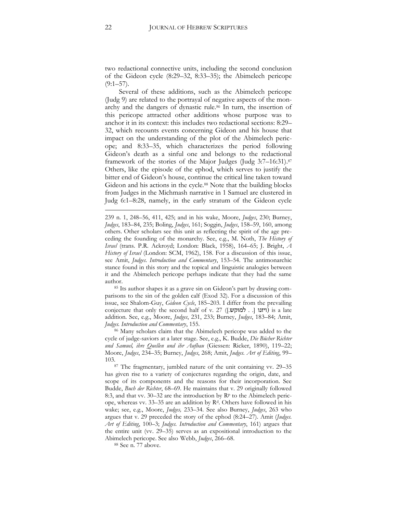two redactional connective units, including the second conclusion of the Gideon cycle (8:29–32, 8:33–35); the Abimelech pericope  $(9:1–57)$ .

Several of these additions, such as the Abimelech pericope (Judg 9) are related to the portrayal of negative aspects of the monarchy and the dangers of dynastic rule.<sup>86</sup> In turn, the insertion of this pericope attracted other additions whose purpose was to anchor it in its context: this includes two redactional sections: 8:29– 32, which recounts events concerning Gideon and his house that impact on the understanding of the plot of the Abimelech pericope; and 8:33–35, which characterizes the period following Gideon's death as a sinful one and belongs to the redactional framework of the stories of the Major Judges (Judg 3:7–16:31).<sup>87</sup> Others, like the episode of the ephod, which serves to justify the bitter end of Gideon's house, continue the critical line taken toward Gideon and his actions in the cycle.<sup>88</sup> Note that the building blocks from Judges in the Michmash narrative in 1 Samuel are clustered in Judg 6:1–8:28, namely, in the early stratum of the Gideon cycle

<sup>85</sup> Its author shapes it as a grave sin on Gideon's part by drawing comparisons to the sin of the golden calf (Exod 32). For a discussion of this issue, see Shalom-Guy, *Gideon Cycle*, 185–203. I differ from the prevailing conjecture that only the second half of v. 27 ([[יוזנו (... למוקש...] is a late addition. See, e.g., Moore, *Judges*, 231, 233; Burney, *Judges*, 183–84; Amit, *Judges. Introduction and Commentary*, 155.

<sup>86</sup> Many scholars claim that the Abimelech pericope was added to the cycle of judge-saviors at a later stage. See, e.g., K. Budde, *Die Bücher Richter und Samuel, ihre Quellen und ihr Aufbau* (Giessen: Ricker, 1890), 119–22; Moore, *Judges*, 234–35; Burney, *Judges*, 268; Amit, *Judges. Art of Editing*, 99– 103.

<sup>87</sup> The fragmentary, jumbled nature of the unit containing vv. 29–35 has given rise to a variety of conjectures regarding the origin, date, and scope of its components and the reasons for their incorporation. See Budde, *Buch der Richter*, 68–69. He maintains that v. 29 originally followed 8:3, and that vv. 30–32 are the introduction by  $\mathbb{R}^p$  to the Abimelech pericope, whereas vv. 33–35 are an addition by R<sup>d</sup> . Others have followed in his wake; see, e.g., Moore, *Judges,* 233–34. See also Burney, *Judges*, 263 who argues that v. 29 preceded the story of the ephod (8:24–27). Amit (*Judges. Art of Editing*, 100–3; *Judges. Introduction and Commentary*, 161) argues that the entire unit (vv. 29–35) serves as an expositional introduction to the Abimelech pericope. See also Webb, *Judges*, 266–68.

<sup>88</sup> See n. [77](#page-20-0) above.

**.** 

<sup>239</sup> n. 1, 248–56, 411, 425; and in his wake, Moore, *Judges*, 230; Burney, *Judges*, 183–84, 235; Boling, *Judges*, 161; Soggin, *Judges*, 158–59, 160, among others. Other scholars see this unit as reflecting the spirit of the age preceding the founding of the monarchy. See, e.g., M. Noth, *The History of Israel* (trans. P.R. Ackroyd; London: Black, 1958), 164–65; J. Bright, *A History of Israel* (London: SCM, 1962), 158. For a discussion of this issue, see Amit, *Judges*. *Introduction and Commentary*, 153–54. The antimonarchic stance found in this story and the topical and linguistic analogies between it and the Abimelech pericope perhaps indicate that they had the same author.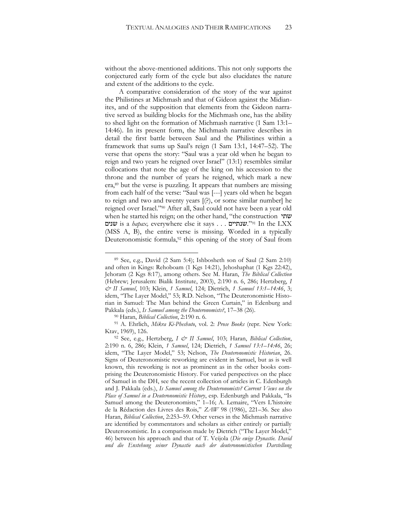without the above-mentioned additions. This not only supports the conjectured early form of the cycle but also elucidates the nature and extent of the additions to the cycle.

A comparative consideration of the story of the war against the Philistines at Michmash and that of Gideon against the Midianites, and of the supposition that elements from the Gideon narrative served as building blocks for the Michmash one, has the ability to shed light on the formation of Michmash narrative (1 Sam 13:1– 14:46). In its present form, the Michmash narrative describes in detail the first battle between Saul and the Philistines within a framework that sums up Saul's reign (1 Sam 13:1, 14:47–52). The verse that opens the story: "Saul was a year old when he began to reign and two years he reigned over Israel" (13:1) resembles similar collocations that note the age of the king on his accession to the throne and the number of years he reigned, which mark a new era,<sup>89</sup> but the verse is puzzling. It appears that numbers are missing from each half of the verse: "Saul was [---] years old when he began to reign and two and twenty years [(?), or some similar number] he reigned over Israel."<sup>90</sup> After all, Saul could not have been a year old when he started his reign; on the other hand, "the construction שתי שנים is a *hapax,* everywhere else it says . . . שנתיים." <sup>91</sup> In the LXX (MSS A, B), the entire verse is missing. Worded in a typically Deuteronomistic formula, <sup>92</sup> this opening of the story of Saul from

<span id="page-23-0"></span><sup>89</sup> See, e.g., David (2 Sam 5:4); Ishbosheth son of Saul (2 Sam 2:10) and often in Kings: Rehoboam (1 Kgs 14:21), Jehoshaphat (1 Kgs 22:42), Jehoram (2 Kgs 8:17), among others. See M. Haran, *The Biblical Collection*  (Hebrew; Jerusalem: Bialik Institute, 2003), 2:190 n. 6, 286; Hertzberg, *I & II Samuel*, 103; Klein, *1 Samuel*, 124; Dietrich, *1 Samuel 13:1*–*14:46*, 3; idem, "The Layer Model," 53; R.D. Nelson, "The Deuteronomistic Historian in Samuel: The Man behind the Green Curtain," in Edenburg and Pakkala (eds.), *Is Samuel among the Deuteronomists?*, 17–38 (26).

<sup>90</sup> Haran, *Biblical Collection*, 2:190 n. 6.

<sup>91</sup> A. Ehrlich, *Mikra Ki-Pheshuto*, vol. 2: *Prose Books* (repr. New York: Ktav, 1969), 126.

<sup>92</sup> See, e.g., Hertzberg, *I & II Samuel*, 103; Haran, *Biblical Collection*, 2:190 n. 6, 286; Klein, *1 Samuel*, 124; Dietrich, *1 Samuel 13:1*–*14:46*, 26; idem, "The Layer Model," 53; Nelson, *The Deuteronomistic Historian*, 26. Signs of Deuteronomistic reworking are evident in Samuel, but as is well known, this reworking is not as prominent as in the other books comprising the Deuteronomistic History. For varied perspectives on the place of Samuel in the DH, see the recent collection of articles in C. Edenburgh and J. Pakkala (eds.), *Is Samuel among the Deuteronomists? Current Views on the Place of Samuel in a Deuteronomistic History*, esp. Edenburgh and Pakkala, "Is Samuel among the Deuteronomists," 1–16; A. Lemaire, "Vers L'histoire de la Rédaction des Livres des Rois," *ZAW* 98 (1986), 221–36. See also Haran, *Biblical Collection*, 2:253–59. Other verses in the Michmash narrative are identified by commentators and scholars as either entirely or partially Deuteronomistic. In a comparison made by Dietrich ("The Layer Model," 46) between his approach and that of T. Veijola (*Die ewige Dynastie. David und die Enstehung seiner Dynastie nach der deuteronomistischen Darstellung*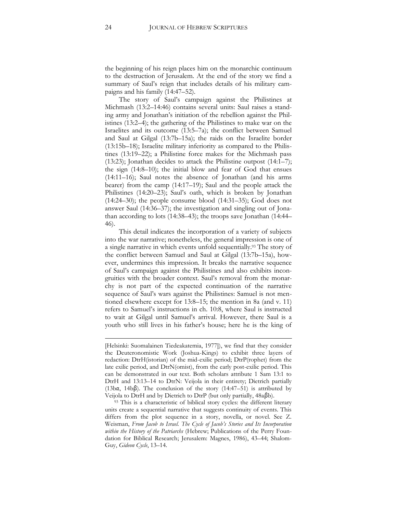the beginning of his reign places him on the monarchic continuum to the destruction of Jerusalem. At the end of the story we find a summary of Saul's reign that includes details of his military campaigns and his family (14:47–52).

The story of Saul's campaign against the Philistines at Michmash (13:2–14:46) contains several units: Saul raises a standing army and Jonathan's initiation of the rebellion against the Philistines (13:2–4); the gathering of the Philistines to make war on the Israelites and its outcome (13:5–7a); the conflict between Samuel and Saul at Gilgal (13:7b–15a); the raids on the Israelite border (13:15b–18); Israelite military inferiority as compared to the Philistines (13:19–22); a Philistine force makes for the Michmash pass (13:23); Jonathan decides to attack the Philistine outpost (14:1–7); the sign (14:8–10); the initial blow and fear of God that ensues (14:11–16); Saul notes the absence of Jonathan (and his arms bearer) from the camp (14:17–19); Saul and the people attack the Philistines (14:20–23); Saul's oath, which is broken by Jonathan (14:24–30); the people consume blood (14:31–35); God does not answer Saul (14:36–37); the investigation and singling out of Jonathan according to lots (14:38–43); the troops save Jonathan (14:44– 46).

This detail indicates the incorporation of a variety of subjects into the war narrative; nonetheless, the general impression is one of a single narrative in which events unfold sequentially.<sup>93</sup> The story of the conflict between Samuel and Saul at Gilgal (13:7b–15a), however, undermines this impression. It breaks the narrative sequence of Saul's campaign against the Philistines and also exhibits incongruities with the broader context. Saul's removal from the monarchy is not part of the expected continuation of the narrative sequence of Saul's wars against the Philistines: Samuel is not mentioned elsewhere except for 13:8–15; the mention in 8a (and v. 11) refers to Samuel's instructions in ch. 10:8, where Saul is instructed to wait at Gilgal until Samuel's arrival. However, there Saul is a youth who still lives in his father's house; here he is the king of

**.** 

<sup>[</sup>Helsinki: Suomalainen Tiedeakatemia, 1977]), we find that they consider the Deuteronomistic Work (Joshua-Kings) to exhibit three layers of redaction: DtrH(istorian) of the mid-exilic period; DtrP(rophet) from the late exilic period, and DtrN(omist), from the early post-exilic period. This can be demonstrated in our text. Both scholars attribute 1 Sam 13:1 to DtrH and 13:13–14 to DtrN: Veijola in their entirety; Dietrich partially (13b $\alpha$ , 14b $\beta$ ). The conclusion of the story (14:47–51) is attributed by Veijola to DtrH and by Dietrich to DtrP (but only partially, 48aβb).

<sup>93</sup> This is a characteristic of biblical story cycles: the different literary units create a sequential narrative that suggests continuity of events. This differs from the plot sequence in a story, novella, or novel. See Z. Weisman, *From Jacob to Israel. The Cycle of Jacob's Stories and Its Incorporation within the History of the Patriarchs* (Hebrew; Publications of the Perry Foundation for Biblical Research; Jerusalem: Magnes, 1986), 43–44; Shalom-Guy, *Gideon Cycle*, 13–14.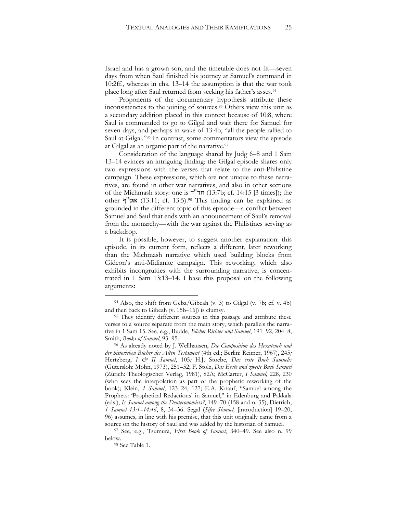Israel and has a grown son; and the timetable does not fit—seven days from when Saul finished his journey at Samuel's command in 10:2ff., whereas in chs. 13–14 the assumption is that the war took place long after Saul returned from seeking his father's asses.<sup>94</sup>

Proponents of the documentary hypothesis attribute these inconsistencies to the joining of sources.<sup>95</sup> Others view this unit as a secondary addition placed in this context because of 10:8, where Saul is commanded to go to Gilgal and wait there for Samuel for seven days, and perhaps in wake of 13:4b, "all the people rallied to Saul at Gilgal."<sup>96</sup> In contrast, some commentators view the episode at Gilgal as an organic part of the narrative.<sup>97</sup>

Consideration of the language shared by Judg 6–8 and 1 Sam 13–14 evinces an intriguing finding: the Gilgal episode shares only two expressions with the verses that relate to the anti-Philistine campaign. These expressions, which are not unique to these narratives, are found in other war narratives, and also in other sections of the Michmash story: one is  $\tau$ "חר" (13:7b; cf. 14:15 [3 times]); the other  $\nabla$  אס"ף (13:11; cf. 13:5).<sup>98</sup> This finding can be explained as grounded in the different topic of this episode—a conflict between Samuel and Saul that ends with an announcement of Saul's removal from the monarchy—with the war against the Philistines serving as a backdrop.

It is possible, however, to suggest another explanation: this episode, in its current form, reflects a different, later reworking than the Michmash narrative which used building blocks from Gideon's anti-Midianite campaign. This reworking, which also exhibits incongruities with the surrounding narrative, is concentrated in 1 Sam 13:13–14. I base this proposal on the following arguments:

<sup>98</sup> See Table 1.

<sup>94</sup> Also, the shift from Geba/Gibeah (v. 3) to Gilgal (v. 7b; cf. v. 4b) and then back to Gibeah (v. 15b–16]) is clumsy.

<sup>&</sup>lt;sup>95</sup> They identify different sources in this passage and attribute these verses to a source separate from the main story, which parallels the narrative in 1 Sam 15. See, e.g., Budde, *Bücher Richter und Samuel*, 191–92, 204–8; Smith, *Books of Samuel*, 93–95.

<sup>96</sup> As already noted by J. Wellhausen, *Die Composition des Hexateuch und der historichen Bücher des Alten Testament* (4th ed.; Berlin: Reimer, 1967), 245*;*  Hertzberg, *I & II Samuel*, 105*;* H.J. Stoebe, *Das erste Buch Samuelis* (Gütersloh: Mohn, 1973), 251–52; F. Stolz, *Das Erste und zweite Buch Samuel* (Zürich: Theologischer Verlag, 1981), 82A; McCarter, *I Samuel,* 228, 230 (who sees the interpolation as part of the prophetic reworking of the book); Klein, *1 Samuel*, 123–24, 127; E.A. Knauf, "Samuel among the Prophets: 'Prophetical Redactions' in Samuel," in Edenburg and Pakkala (eds.), *Is Samuel among the Deuteronomists?*, 149–70 (158 and n. 35); Dietrich, *1 Samuel 13:1*–*14:46*, 8, 34–36. Segal (*Sifre Shmuel,* [introduction] 19–20, 96) assumes, in line with his premise, that this unit originally came from a source on the history of Saul and was added by the historian of Samuel.

<sup>97</sup> See, e.g., Tsumura, *First Book of Samuel*, 340–49. See also n. [99](#page-26-0) below.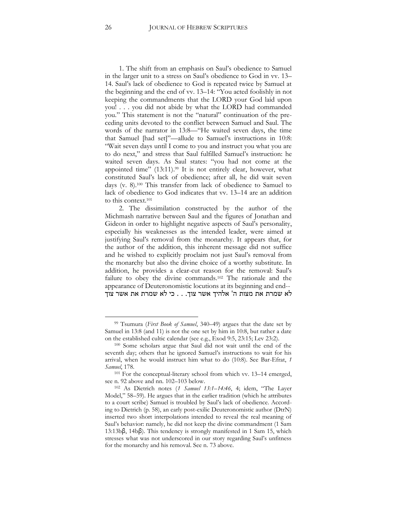1. The shift from an emphasis on Saul's obedience to Samuel in the larger unit to a stress on Saul's obedience to God in vv. 13– 14. Saul's lack of obedience to God is repeated twice by Samuel at the beginning and the end of vv. 13–14: "You acted foolishly in not keeping the commandments that the LORD your God laid upon you! . . . you did not abide by what the LORD had commanded you." This statement is not the "natural" continuation of the preceding units devoted to the conflict between Samuel and Saul. The words of the narrator in 13:8—"He waited seven days, the time that Samuel [had set]"—allude to Samuel's instructions in 10:8: "Wait seven days until I come to you and instruct you what you are to do next," and stress that Saul fulfilled Samuel's instruction: he waited seven days. As Saul states: "you had not come at the appointed time" (13:11).<sup>99</sup> It is not entirely clear, however, what constituted Saul's lack of obedience; after all, he did wait seven days (v. 8).<sup>100</sup> This transfer from lack of obedience to Samuel to lack of obedience to God indicates that vv. 13–14 are an addition to this context.<sup>101</sup>

<span id="page-26-0"></span>2. The dissimilation constructed by the author of the Michmash narrative between Saul and the figures of Jonathan and Gideon in order to highlight negative aspects of Saul's personality, especially his weaknesses as the intended leader, were aimed at justifying Saul's removal from the monarchy. It appears that, for the author of the addition, this inherent message did not suffice and he wished to explicitly proclaim not just Saul's removal from the monarchy but also the divine choice of a worthy substitute. In addition, he provides a clear-cut reason for the removal: Saul's failure to obey the divine commands.<sup>102</sup> The rationale and the appearance of Deuteronomistic locutions at its beginning and end-- לא שמרת את מצות ה' אלהיך אשר צוך. . . כי לא שמרת את אשר צוך

<span id="page-26-1"></span><sup>99</sup> Tsumura (*First Book of Samuel*, 340–49) argues that the date set by Samuel in 13:8 (and 11) is not the one set by him in 10:8, but rather a date on the established cultic calendar (see e.g., Exod 9:5, 23:15; Lev 23:2).

<sup>100</sup> Some scholars argue that Saul did not wait until the end of the seventh day; others that he ignored Samuel's instructions to wait for his arrival, when he would instruct him what to do (10:8). See Bar-Efrat, *1 Samuel*, 178.

<sup>101</sup> For the conceptual-literary school from which vv. 13–14 emerged, see n. [92](#page-23-0) above and nn. [102](#page-26-1)–[103](#page-27-0) below.

<sup>102</sup> As Dietrich notes (*1 Samuel 13:1–14:46*, 4; idem, "The Layer Model," 58–59). He argues that in the earlier tradition (which he attributes to a court scribe) Samuel is troubled by Saul's lack of obedience. According to Dietrich (p. 58), an early post-exilic Deuteronomistic author (DtrN) inserted two short interpolations intended to reveal the real meaning of Saul's behavior: namely, he did not keep the divine commandment (1 Sam 13:13bβ, 14bβ). This tendency is strongly manifested in 1 Sam 15, which stresses what was not underscored in our story regarding Saul's unfitness for the monarchy and his removal. See n. [73](#page-19-0) above.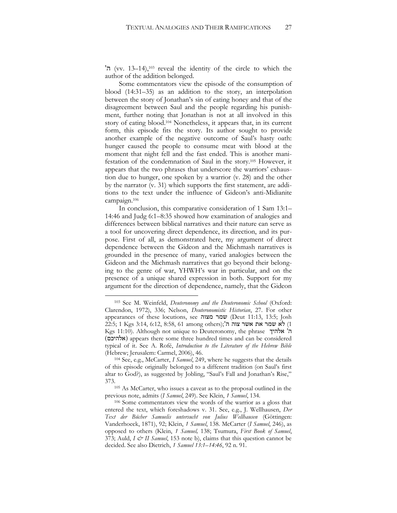<span id="page-27-0"></span> $\sim$  (vv. 13–14),<sup>103</sup> reveal the identity of the circle to which the author of the addition belonged.

Some commentators view the episode of the consumption of blood (14:31–35) as an addition to the story, an interpolation between the story of Jonathan's sin of eating honey and that of the disagreement between Saul and the people regarding his punishment, further noting that Jonathan is not at all involved in this story of eating blood. <sup>104</sup> Nonetheless, it appears that, in its current form, this episode fits the story. Its author sought to provide another example of the negative outcome of Saul's hasty oath: hunger caused the people to consume meat with blood at the moment that night fell and the fast ended. This is another manifestation of the condemnation of Saul in the story.<sup>105</sup> However, it appears that the two phrases that underscore the warriors' exhaustion due to hunger, one spoken by a warrior (v. 28) and the other by the narrator (v. 31) which supports the first statement, are additions to the text under the influence of Gideon's anti-Midianite campaign.<sup>106</sup>

In conclusion, this comparative consideration of 1 Sam 13:1– 14:46 and Judg 6:1–8:35 showed how examination of analogies and differences between biblical narratives and their nature can serve as a tool for uncovering direct dependence, its direction, and its purpose. First of all, as demonstrated here, my argument of direct dependence between the Gideon and the Michmash narratives is grounded in the presence of many, varied analogies between the Gideon and the Michmash narratives that go beyond their belonging to the genre of war, YHWH's war in particular, and on the presence of a unique shared expression in both. Support for my argument for the direction of dependence, namely, that the Gideon

<sup>103</sup> See M. Weinfeld, *Deuteronomy and the Deuteronomic School* (Oxford: Clarendon, 1972), 336; Nelson, *Deuteronomistic Historian*, 27. For other appearances of these locutions, see מצוה שמר) Deut 11:13, 13:5; Josh 1) לא שמר את אשר צוה ה';(22:5; 1 Kgs 3:14, 6:12, 8:58, 61 among others Kgs 11:10). Although not unique to Deuteronomy, the phrase אלהיך' ה )אלהיכם )appears there some three hundred times and can be considered typical of it. See A. Rofé, *Introduction to the Literature of the Hebrew Bible*  (Hebrew; Jerusalem: Carmel, 2006), 46.

<sup>104</sup> See, e.g., McCarter, *I Samuel*, 249, where he suggests that the details of this episode originally belonged to a different tradition (on Saul's first altar to God?), as suggested by Jobling, "Saul's Fall and Jonathan's Rise," 373.

<sup>105</sup> As McCarter, who issues a caveat as to the proposal outlined in the previous note, admits (*I Samuel*, 249). See Klein, *1 Samuel*, 134.

<sup>106</sup> Some commentators view the words of the warrior as a gloss that entered the text, which foreshadows v. 31. See, e.g., J. Wellhausen, *Der Text der Bücher Samuelis untersucht von Julius Wellhausen* (Göttingen: Vanderhoeck, 1871), 92; Klein, *1 Samuel*, 138. McCarter (*I Samuel*, 246), as opposed to others (Klein, *1 Samuel,* 138; Tsumura, *First Book of Samuel*, 373; Auld, *I & II Samuel*, 153 note b), claims that this question cannot be decided. See also Dietrich, *1 Samuel 13:1–14:46*, 92 n. 91.